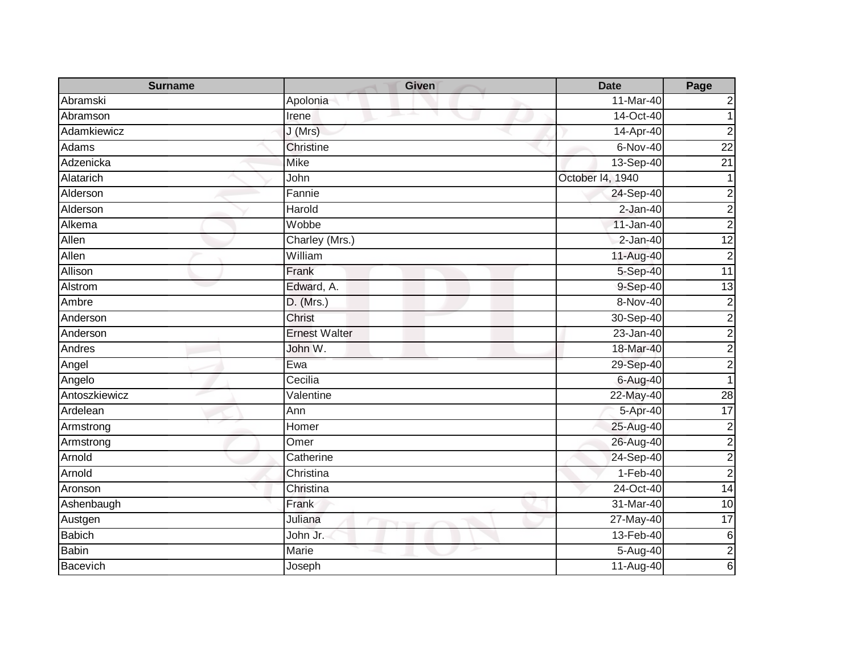| <b>Surname</b> | <b>Given</b>         | <b>Date</b>               | Page                    |
|----------------|----------------------|---------------------------|-------------------------|
| Abramski       | Apolonia             | 11-Mar-40                 | 2                       |
| Abramson       | Irene                | 14-Oct-40                 |                         |
| Adamkiewicz    | J (Mrs)              | 14-Apr-40                 | $\overline{2}$          |
| Adams          | Christine            | $6-Nov-40$                | $\overline{22}$         |
| Adzenicka      | <b>Mike</b>          | 13-Sep-40                 | 21                      |
| Alatarich      | John                 | October 14, 1940          |                         |
| Alderson       | Fannie               | 24-Sep-40                 | 2                       |
| Alderson       | Harold               | $2-Jan-40$                | $\overline{\mathbf{c}}$ |
| Alkema         | Wobbe                | 11-Jan-40                 | $\overline{2}$          |
| Allen          | Charley (Mrs.)       | $2-Jan-40$                | $\overline{12}$         |
| Allen          | William              | 11-Aug-40                 | $\mathbf 2$             |
| Allison        | Frank                | 5-Sep-40                  | $\overline{11}$         |
| Alstrom        | Edward, A.           | 9-Sep-40                  | 13                      |
| Ambre          | $D.$ (Mrs.)          | 8-Nov-40                  | $\overline{\mathbf{c}}$ |
| Anderson       | Christ               | 30-Sep-40                 | $\boldsymbol{2}$        |
| Anderson       | <b>Ernest Walter</b> | $23 - Jan-40$             | $\overline{2}$          |
| Andres         | John W.              | 18-Mar-40                 | $\overline{\mathbf{c}}$ |
| Angel          | Ewa                  | 29-Sep-40                 | $\overline{2}$          |
| Angelo         | Cecilia              | $6 - \overline{Aug} - 40$ |                         |
| Antoszkiewicz  | Valentine            | 22-May-40                 | $\overline{28}$         |
| Ardelean       | Ann                  | 5-Apr-40                  | $\overline{17}$         |
| Armstrong      | Homer                | 25-Aug-40                 | $\overline{c}$          |
| Armstrong      | Omer                 | 26-Aug-40                 | $\overline{2}$          |
| Arnold         | Catherine            | 24-Sep-40                 | $\overline{2}$          |
| Arnold         | Christina            | $1-Feb-40$                | $\overline{2}$          |
| Aronson        | Christina            | 24-Oct-40                 | 14                      |
| Ashenbaugh     | Frank                | 31-Mar-40                 | 10                      |
| Austgen        | Juliana              | 27-May-40                 | 17                      |
| <b>Babich</b>  | John Jr.             | 13-Feb-40                 | $\,6$                   |
| <b>Babin</b>   | Marie                | 5-Aug-40                  | $\overline{2}$          |
| Bacevich       | Joseph               | 11-Aug-40                 | 6                       |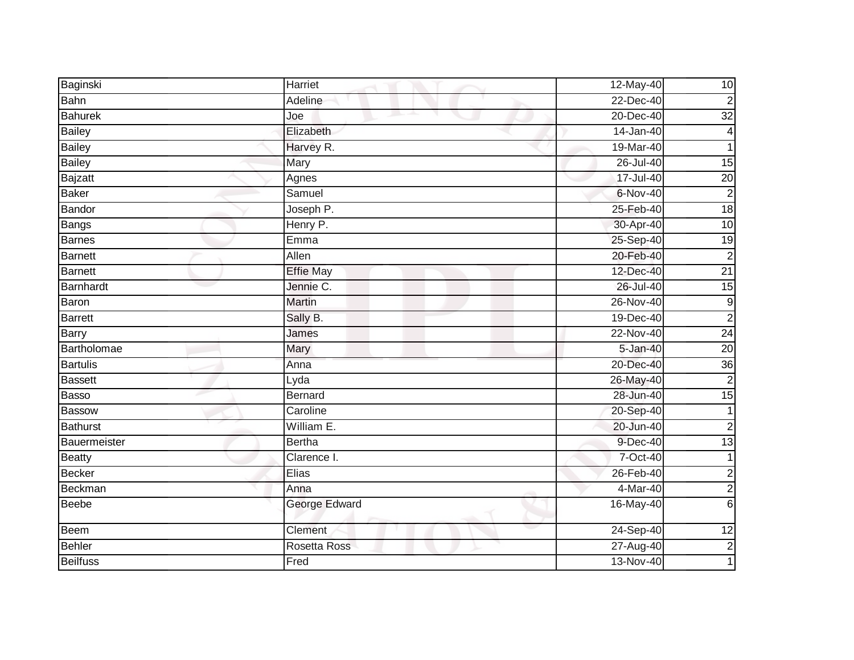| Baginski        | Harriet                | 12-May-40 | 10              |
|-----------------|------------------------|-----------|-----------------|
| Bahn            | Adeline                | 22-Dec-40 | $\overline{2}$  |
| <b>Bahurek</b>  | and the project<br>Joe | 20-Dec-40 | 32              |
| <b>Bailey</b>   | Elizabeth              | 14-Jan-40 | $\overline{4}$  |
| <b>Bailey</b>   | Harvey R.              | 19-Mar-40 |                 |
| <b>Bailey</b>   | Mary                   | 26-Jul-40 | $\overline{15}$ |
| <b>Bajzatt</b>  | Agnes                  | 17-Jul-40 | $\overline{20}$ |
| Baker           | Samuel                 | 6-Nov-40  | $\overline{2}$  |
| Bandor          | Joseph P.              | 25-Feb-40 | $\frac{1}{8}$   |
| Bangs           | Henry P.               | 30-Apr-40 | 10              |
| <b>Barnes</b>   | Emma                   | 25-Sep-40 | 19              |
| <b>Barnett</b>  | Allen                  | 20-Feb-40 | $\overline{2}$  |
| <b>Barnett</b>  | <b>Effie May</b>       | 12-Dec-40 | $\overline{21}$ |
| Barnhardt       | Jennie C.              | 26-Jul-40 | 15              |
| Baron           | <b>Martin</b>          | 26-Nov-40 | $\overline{9}$  |
| <b>Barrett</b>  | Sally B.               | 19-Dec-40 | $\overline{c}$  |
| <b>Barry</b>    | James                  | 22-Nov-40 | 24              |
| Bartholomae     | Mary                   | 5-Jan-40  | $\overline{20}$ |
| <b>Bartulis</b> | Anna                   | 20-Dec-40 | $\overline{36}$ |
| <b>Bassett</b>  | Lyda                   | 26-May-40 | $\overline{c}$  |
| Basso           | <b>Bernard</b>         | 28-Jun-40 | 15              |
| <b>Bassow</b>   | Caroline               | 20-Sep-40 | 1               |
| <b>Bathurst</b> | William E.             | 20-Jun-40 | $\overline{c}$  |
| Bauermeister    | <b>Bertha</b>          | 9-Dec-40  | $\overline{13}$ |
| <b>Beatty</b>   | Clarence I.            | 7-Oct-40  |                 |
| <b>Becker</b>   | Elias                  | 26-Feb-40 | $\overline{c}$  |
| <b>Beckman</b>  | Anna                   | 4-Mar-40  | $\overline{2}$  |
| <b>Beebe</b>    | George Edward          | 16-May-40 | 6               |
| <b>Beem</b>     | Clement                | 24-Sep-40 | 12              |
| <b>Behler</b>   | Rosetta Ross           | 27-Aug-40 | $\overline{c}$  |
| <b>Beilfuss</b> | Fred                   | 13-Nov-40 |                 |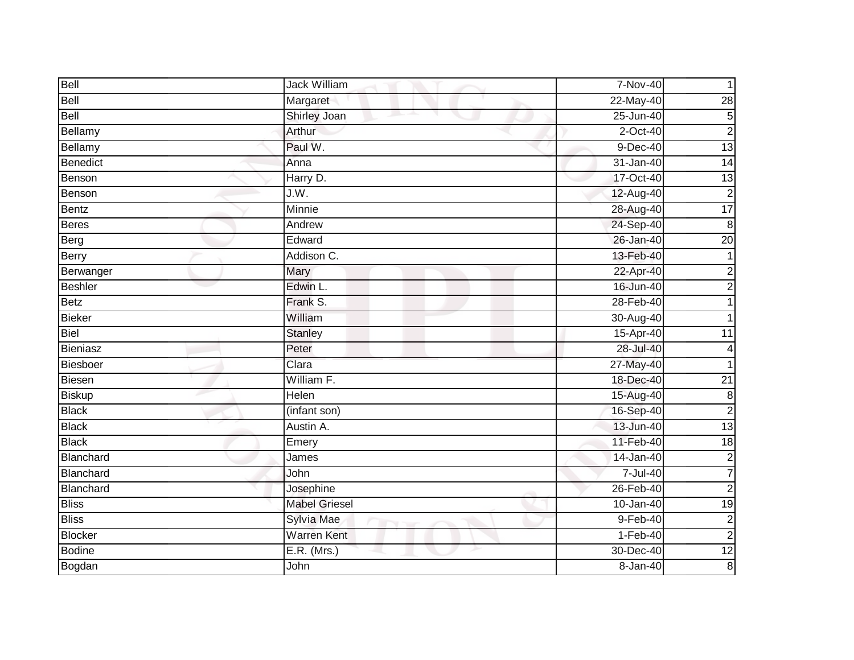| Bell            | Jack William         | 7-Nov-40      |                 |
|-----------------|----------------------|---------------|-----------------|
| Bell            | Margaret             | 22-May-40     | 28              |
| Bell            | Shirley Joan         | $25 - Jun-40$ | $\overline{5}$  |
| Bellamy         | Arthur               | 2-Oct-40      | $\overline{2}$  |
| Bellamy         | Paul W.              | $9$ -Dec-40   | 13              |
| Benedict        | Anna                 | 31-Jan-40     | 14              |
| Benson          | Harry D.             | 17-Oct-40     | $\overline{13}$ |
| Benson          | J.W.                 | 12-Aug-40     | $\overline{c}$  |
| <b>Bentz</b>    | Minnie               | 28-Aug-40     | 17              |
| <b>Beres</b>    | Andrew               | 24-Sep-40     | $\overline{8}$  |
| Berg            | Edward               | 26-Jan-40     | $\overline{20}$ |
| <b>Berry</b>    | Addison C.           | 13-Feb-40     |                 |
| Berwanger       | Mary                 | 22-Apr-40     | $\overline{c}$  |
| <b>Beshler</b>  | Edwin L.             | 16-Jun-40     | $\overline{2}$  |
| <b>Betz</b>     | Frank S.             | 28-Feb-40     |                 |
| <b>Bieker</b>   | William              | 30-Aug-40     |                 |
| <b>Biel</b>     | <b>Stanley</b>       | 15-Apr-40     | $\overline{11}$ |
| <b>Bieniasz</b> | Peter                | 28-Jul-40     | 4               |
| <b>Biesboer</b> | Clara                | 27-May-40     |                 |
| <b>Biesen</b>   | William F.           | 18-Dec-40     | $\overline{21}$ |
| <b>Biskup</b>   | Helen                | 15-Aug-40     | $\bf 8$         |
| <b>Black</b>    | (infant son)         | 16-Sep-40     | $\overline{2}$  |
| <b>Black</b>    | Austin A.            | 13-Jun-40     | $\overline{13}$ |
| <b>Black</b>    | Emery                | 11-Feb-40     | 18              |
| Blanchard       | James                | 14-Jan-40     | $\overline{c}$  |
| Blanchard       | John                 | $7 -$ Jul-40  | $\overline{7}$  |
| Blanchard       | Josephine            | 26-Feb-40     | $\overline{c}$  |
| <b>Bliss</b>    | <b>Mabel Griesel</b> | 10-Jan-40     | $\overline{19}$ |
| <b>Bliss</b>    | Sylvia Mae           | $9-Feb-40$    | $\overline{c}$  |
| <b>Blocker</b>  | <b>Warren Kent</b>   | $1-Feb-40$    | $\overline{c}$  |
| <b>Bodine</b>   | $E.R.$ (Mrs.)        | 30-Dec-40     | 12              |
| Bogdan          | John                 | 8-Jan-40      | $\bf 8$         |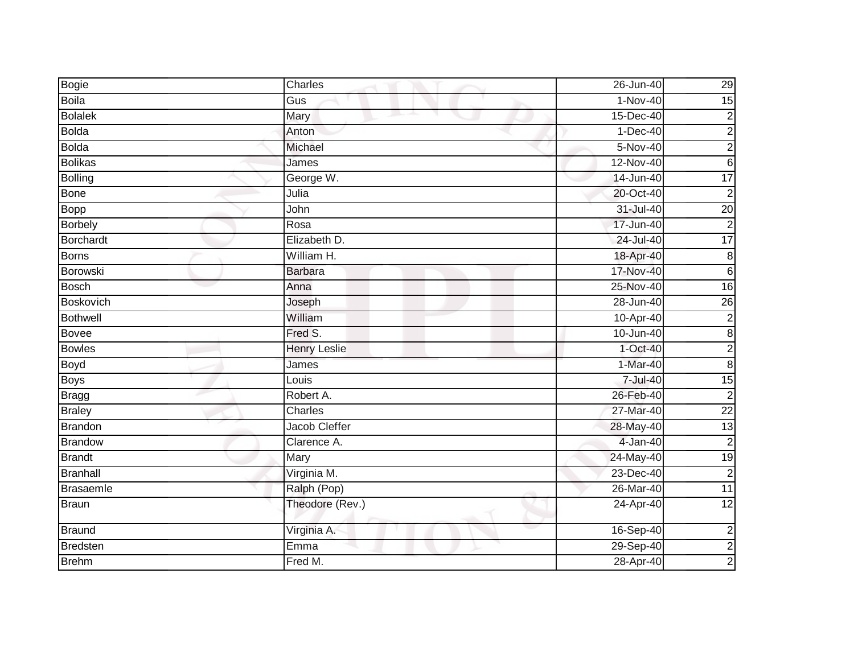| Bogie            | Charles             | 26-Jun-40  | 29                      |
|------------------|---------------------|------------|-------------------------|
| <b>Boila</b>     | Gus                 | $1-Nov-40$ | 15                      |
| <b>Bolalek</b>   | Mary                | 15-Dec-40  | $\overline{\mathbf{c}}$ |
| <b>Bolda</b>     | Anton               | $1-Dec-40$ | $\overline{\mathbf{c}}$ |
| <b>Bolda</b>     | Michael             | $5-Nov-40$ | $\overline{c}$          |
| <b>Bolikas</b>   | James               | 12-Nov-40  | $6\phantom{1}$          |
| <b>Bolling</b>   | George W.           | 14-Jun-40  | $\overline{17}$         |
| <b>Bone</b>      | Julia               | 20-Oct-40  | $\overline{c}$          |
| Bopp             | John                | 31-Jul-40  | $\overline{20}$         |
| <b>Borbely</b>   | Rosa                | 17-Jun-40  | $\overline{2}$          |
| <b>Borchardt</b> | Elizabeth D.        | 24-Jul-40  | 17                      |
| Borns            | William H.          | 18-Apr-40  | $\bf 8$                 |
| Borowski         | <b>Barbara</b>      | 17-Nov-40  | $\,6$                   |
| <b>Bosch</b>     | Anna                | 25-Nov-40  | 16                      |
| <b>Boskovich</b> | Joseph              | 28-Jun-40  | 26                      |
| <b>Bothwell</b>  | William             | 10-Apr-40  | $\overline{c}$          |
| <b>Bovee</b>     | Fred S.             | 10-Jun-40  | $\bf 8$                 |
| <b>Bowles</b>    | <b>Henry Leslie</b> | $1-Oct-40$ | $\overline{c}$          |
| <b>Boyd</b>      | James               | $1-Mar-40$ | $\bf 8$                 |
| <b>Boys</b>      | Louis               | 7-Jul-40   | $\overline{15}$         |
| Bragg            | Robert A.           | 26-Feb-40  | $\overline{c}$          |
| <b>Braley</b>    | Charles             | 27-Mar-40  | $\overline{22}$         |
| <b>Brandon</b>   | Jacob Cleffer       | 28-May-40  | 13                      |
| <b>Brandow</b>   | Clarence A.         | 4-Jan-40   | $\overline{c}$          |
| <b>Brandt</b>    | Mary                | 24-May-40  | 19                      |
| <b>Branhall</b>  | Virginia M.         | 23-Dec-40  | $\overline{2}$          |
| Brasaemle        | Ralph (Pop)         | 26-Mar-40  | 11                      |
| Braun            | Theodore (Rev.)     | 24-Apr-40  | 12                      |
| <b>Braund</b>    | Virginia A.         | 16-Sep-40  | $\overline{c}$          |
| <b>Bredsten</b>  | Emma                | 29-Sep-40  | $\overline{2}$          |
| <b>Brehm</b>     | Fred M.             | 28-Apr-40  | $\overline{a}$          |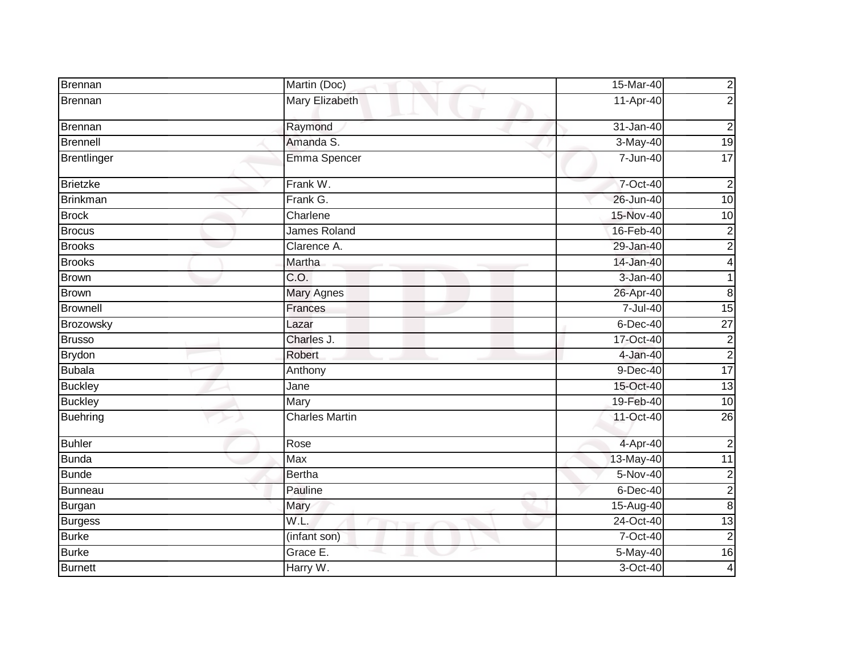| Brennan        | Martin (Doc)          | 15-Mar-40     | $\overline{c}$  |
|----------------|-----------------------|---------------|-----------------|
| Brennan        | Mary Elizabeth        | 11-Apr-40     | $\overline{2}$  |
| Brennan        | Raymond               | $31 - Jan-40$ | $\overline{c}$  |
| Brennell       | Amanda S.             | 3-May-40      | 19              |
| Brentlinger    | Emma Spencer          | 7-Jun-40      | 17              |
| Brietzke       | Frank W.              | 7-Oct-40      | $\overline{2}$  |
| Brinkman       | Frank G.              | 26-Jun-40     | 10              |
| <b>Brock</b>   | Charlene              | 15-Nov-40     | $\overline{10}$ |
| <b>Brocus</b>  | James Roland          | 16-Feb-40     | $\overline{2}$  |
| <b>Brooks</b>  | Clarence A.           | 29-Jan-40     | $\overline{a}$  |
| <b>Brooks</b>  | Martha                | 14-Jan-40     | 4               |
| <b>Brown</b>   | C.O.                  | $3 - Jan-40$  |                 |
| <b>Brown</b>   | <b>Mary Agnes</b>     | 26-Apr-40     | 8               |
| Brownell       | Frances               | 7-Jul-40      | 15              |
| Brozowsky      | Lazar                 | 6-Dec-40      | $\overline{27}$ |
| <b>Brusso</b>  | Charles J.            | 17-Oct-40     | $\overline{c}$  |
| <b>Brydon</b>  | <b>Robert</b>         | 4-Jan-40      | $\overline{c}$  |
| <b>Bubala</b>  | Anthony               | $9-Dec-40$    | 17              |
| <b>Buckley</b> | Jane                  | 15-Oct-40     | 13              |
| <b>Buckley</b> | Mary                  | 19-Feb-40     | 10              |
| Buehring       | <b>Charles Martin</b> | 11-Oct-40     | $\overline{26}$ |
| <b>Buhler</b>  | Rose                  | 4-Apr-40      | $\overline{2}$  |
| <b>Bunda</b>   | <b>Max</b>            | 13-May-40     | $\overline{11}$ |
| <b>Bunde</b>   | <b>Bertha</b>         | $5-Nov-40$    | $\overline{2}$  |
| Bunneau        | Pauline               | $6$ -Dec-40   | $\overline{a}$  |
| Burgan         | Mary                  | 15-Aug-40     | $\bf 8$         |
| <b>Burgess</b> | W.L.                  | 24-Oct-40     | $\overline{13}$ |
| <b>Burke</b>   | (infant son)          | 7-Oct-40      | $\overline{c}$  |
| <b>Burke</b>   | Grace E.              | 5-May-40      | $\overline{16}$ |
| <b>Burnett</b> | Harry W.              | $3-Oct-40$    | 4               |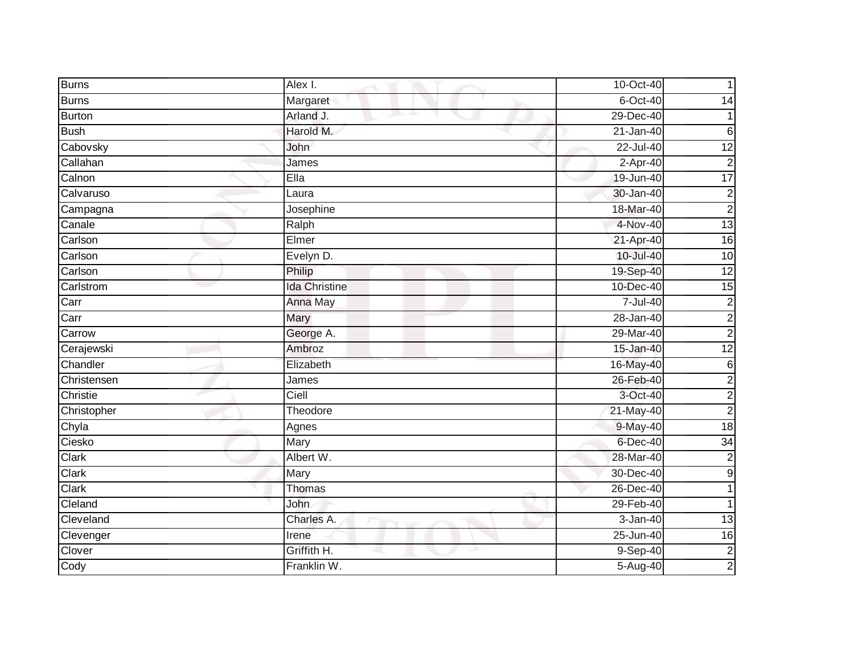| <b>Burns</b>  | Alex I.              | 10-Oct-40     |                  |
|---------------|----------------------|---------------|------------------|
| <b>Burns</b>  | Margaret             | $6$ -Oct-40   | 14               |
| <b>Burton</b> | Arland J.            | 29-Dec-40     |                  |
| <b>Bush</b>   | Harold M.            | 21-Jan-40     | $6\phantom{1}$   |
| Cabovsky      | John                 | $22 -$ Jul-40 | $\overline{12}$  |
| Callahan      | James                | 2-Apr-40      | $\overline{c}$   |
| Calnon        | Ella                 | 19-Jun-40     | 17               |
| Calvaruso     | Laura                | 30-Jan-40     | $\overline{c}$   |
| Campagna      | Josephine            | 18-Mar-40     | $\overline{2}$   |
| Canale        | Ralph                | 4-Nov-40      | 13               |
| Carlson       | Elmer                | 21-Apr-40     | $\overline{16}$  |
| Carlson       | Evelyn D.            | 10-Jul-40     | $\overline{10}$  |
| Carlson       | Philip               | 19-Sep-40     | 12               |
| Carlstrom     | <b>Ida Christine</b> | 10-Dec-40     | $\overline{15}$  |
| Carr          | Anna May             | 7-Jul-40      | $\overline{c}$   |
| Carr          | <b>Mary</b>          | 28-Jan-40     | $\overline{c}$   |
| Carrow        | George A.            | 29-Mar-40     | $\overline{2}$   |
| Cerajewski    | Ambroz               | 15-Jan-40     | 12               |
| Chandler      | Elizabeth            | 16-May-40     | $\,$ 6 $\,$      |
| Christensen   | <b>James</b>         | 26-Feb-40     | $\overline{c}$   |
| Christie      | Ciell                | 3-Oct-40      | $\overline{c}$   |
| Christopher   | Theodore             | 21-May-40     | $\overline{2}$   |
| Chyla         | Agnes                | 9-May-40      | $\frac{1}{8}$    |
| Ciesko        | Mary                 | $6$ -Dec-40   | 34               |
| Clark         | Albert W.            | 28-Mar-40     | $\overline{c}$   |
| Clark         | Mary                 | 30-Dec-40     | $\boldsymbol{9}$ |
| Clark         | Thomas               | 26-Dec-40     |                  |
| Cleland       | John                 | 29-Feb-40     |                  |
| Cleveland     | Charles A.           | 3-Jan-40      | $\overline{13}$  |
| Clevenger     | Irene                | 25-Jun-40     | 16               |
| Clover        | Griffith H.          | 9-Sep-40      | $\overline{2}$   |
| Cody          | Franklin W.          | $5-Aug-40$    | $\overline{a}$   |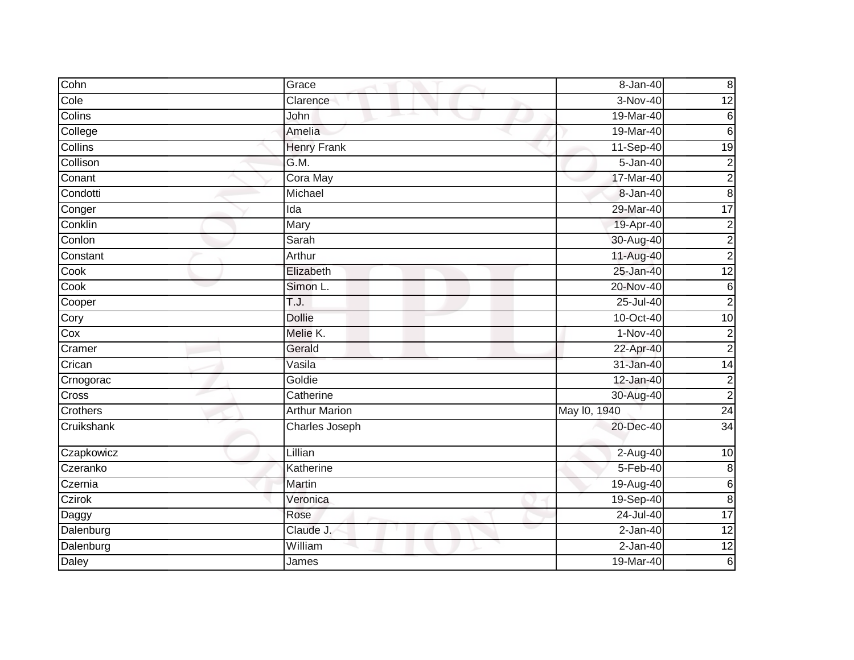| Cohn           | Grace                | $8 - Jan-40$ | $\boldsymbol{8}$        |
|----------------|----------------------|--------------|-------------------------|
| Cole           | Clarence             | $3-Nov-40$   | 12                      |
| Colins         | John                 | 19-Mar-40    | $\,6$                   |
| College        | Amelia               | 19-Mar-40    | $6\phantom{.}6$         |
| <b>Collins</b> | <b>Henry Frank</b>   | 11-Sep-40    | $\overline{19}$         |
| Collison       | G.M.                 | 5-Jan-40     | $\overline{c}$          |
| Conant         | Cora May             | 17-Mar-40    | $\overline{2}$          |
| Condotti       | Michael              | 8-Jan-40     | $\infty$                |
| Conger         | Ida                  | 29-Mar-40    | $\overline{17}$         |
| Conklin        | Mary                 | 19-Apr-40    | $\overline{2}$          |
| Conlon         | Sarah                | 30-Aug-40    | $\overline{\mathbf{c}}$ |
| Constant       | Arthur               | 11-Aug-40    | $\overline{2}$          |
| Cook           | Elizabeth            | 25-Jan-40    | 12                      |
| Cook           | Simon L.             | 20-Nov-40    | $\,6$                   |
| Cooper         | T.J.                 | 25-Jul-40    | $\overline{2}$          |
| Cory           | <b>Dollie</b>        | 10-Oct-40    | $\overline{10}$         |
| Cox            | Melie K.             | $1-Nov-40$   | $\overline{c}$          |
| Cramer         | Gerald               | 22-Apr-40    | $\overline{c}$          |
| Crican         | Vasila               | 31-Jan-40    | $\overline{14}$         |
| Crnogorac      | Goldie               | 12-Jan-40    | $\overline{c}$          |
| Cross          | Catherine            | 30-Aug-40    | $\overline{2}$          |
| Crothers       | <b>Arthur Marion</b> | May 10, 1940 | $\overline{24}$         |
| Cruikshank     | Charles Joseph       | 20-Dec-40    | $\overline{34}$         |
| Czapkowicz     | Lillian              | 2-Aug-40     | 10                      |
| Czeranko       | Katherine            | 5-Feb-40     | $\,8\,$                 |
| Czernia        | Martin               | 19-Aug-40    | 6                       |
| Czirok         | Veronica             | 19-Sep-40    | $\bf 8$                 |
| Daggy          | Rose                 | 24-Jul-40    | 17                      |
| Dalenburg      | Claude J.            | 2-Jan-40     | $\overline{12}$         |
| Dalenburg      | William              | $2-Jan-40$   | $\overline{12}$         |
| Daley          | James                | 19-Mar-40    | $\,6$                   |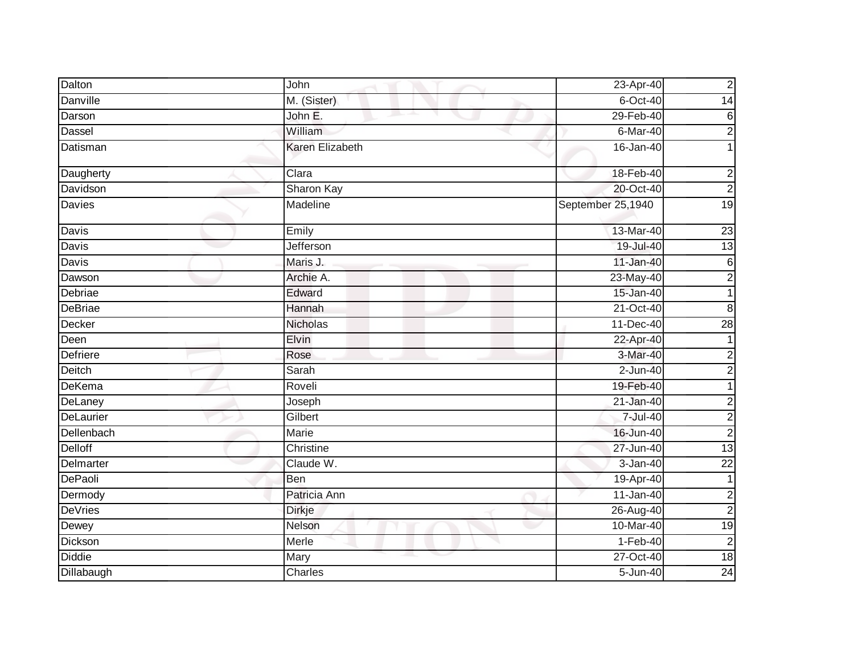| Dalton         | John             | 23-Apr-40         | $\mathbf 2$             |
|----------------|------------------|-------------------|-------------------------|
| Danville       | M. (Sister)      | $6$ -Oct-40       | $\overline{14}$         |
| Darson         | John E.          | 29-Feb-40         | 6                       |
| Dassel         | William          | 6-Mar-40          | $\overline{2}$          |
| Datisman       | Karen Elizabeth  | 16-Jan-40         |                         |
| Daugherty      | Clara            | 18-Feb-40         | 2                       |
| Davidson       | Sharon Kay       | 20-Oct-40         | $\overline{2}$          |
| <b>Davies</b>  | <b>Madeline</b>  | September 25,1940 | 19                      |
| Davis          | Emily            | 13-Mar-40         | $\overline{23}$         |
| Davis          | <b>Jefferson</b> | 19-Jul-40         | $\overline{13}$         |
| Davis          | Maris J.         | 11-Jan-40         | $\,6$                   |
| Dawson         | Archie A.        | 23-May-40         | $\overline{\mathbf{c}}$ |
| Debriae        | Edward           | 15-Jan-40         |                         |
| DeBriae        | Hannah           | 21-Oct-40         | 8                       |
| <b>Decker</b>  | <b>Nicholas</b>  | 11-Dec-40         | $\overline{28}$         |
| Deen           | Elvin            | 22-Apr-40         |                         |
| Defriere       | Rose             | 3-Mar-40          | $\mathbf 2$             |
| Deitch         | Sarah            | $2$ -Jun-40       | $\overline{2}$          |
| DeKema         | Roveli           | 19-Feb-40         | 1                       |
| DeLaney        | Joseph           | 21-Jan-40         | $\overline{\mathbf{c}}$ |
| DeLaurier      | Gilbert          | 7-Jul-40          | $\overline{2}$          |
| Dellenbach     | Marie            | 16-Jun-40         | $\mathbf 2$             |
| <b>Delloff</b> | Christine        | 27-Jun-40         | 13                      |
| Delmarter      | Claude W.        | $3-Jan-40$        | $\overline{22}$         |
| <b>DePaoli</b> | Ben              | 19-Apr-40         |                         |
| Dermody        | Patricia Ann     | $11-Jan-40$       | 2                       |
| <b>DeVries</b> | <b>Dirkje</b>    | 26-Aug-40         | $\overline{c}$          |
| Dewey          | Nelson           | 10-Mar-40         | $\overline{19}$         |
| Dickson        | Merle            | $1-Feb-40$        | $\mathbf 2$             |
| <b>Diddie</b>  | Mary             | 27-Oct-40         | 18                      |
| Dillabaugh     | Charles          | 5-Jun-40          | $\overline{24}$         |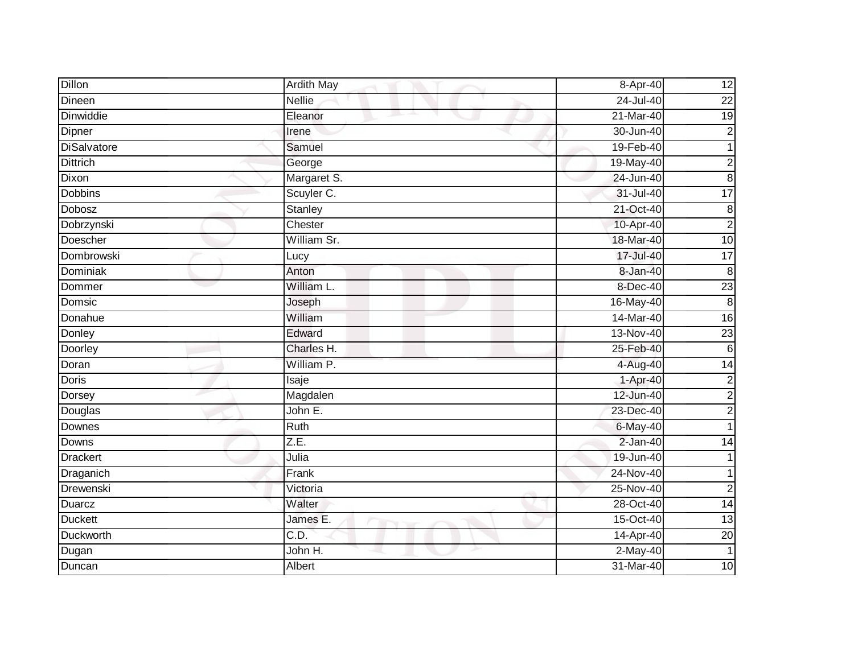| Dillon             | <b>Ardith May</b> | 8-Apr-40      | 12              |
|--------------------|-------------------|---------------|-----------------|
| Dineen             | <b>Nellie</b>     | 24-Jul-40     | $\overline{22}$ |
| Dinwiddie          | Eleanor           | 21-Mar-40     | $\overline{19}$ |
| Dipner             | Irene             | 30-Jun-40     | $\overline{c}$  |
| <b>DiSalvatore</b> | Samuel            | 19-Feb-40     | 1               |
| <b>Dittrich</b>    | George            | 19-May-40     | $\overline{c}$  |
| Dixon              | Margaret S.       | 24-Jun-40     | $\bf 8$         |
| <b>Dobbins</b>     | Scuyler C.        | $31 -$ Jul-40 | $\overline{17}$ |
| Dobosz             | Stanley           | 21-Oct-40     | $\bf 8$         |
| Dobrzynski         | Chester           | 10-Apr-40     | $\overline{2}$  |
| Doescher           | William Sr.       | 18-Mar-40     | 10              |
| Dombrowski         | Lucy              | 17-Jul-40     | $\overline{17}$ |
| <b>Dominiak</b>    | Anton             | 8-Jan-40      | $\overline{8}$  |
| Dommer             | William L.        | 8-Dec-40      | 23              |
| Domsic             | Joseph            | 16-May-40     | 8               |
| Donahue            | William           | 14-Mar-40     | $\overline{16}$ |
| Donley             | Edward            | 13-Nov-40     | 23              |
| Doorley            | Charles H.        | 25-Feb-40     | 6               |
| Doran              | William P.        | 4-Aug-40      | $\overline{14}$ |
| <b>Doris</b>       | Isaje             | 1-Apr-40      | $\overline{c}$  |
| Dorsey             | Magdalen          | 12-Jun-40     | $\overline{c}$  |
| Douglas            | John E.           | 23-Dec-40     | $\overline{2}$  |
| Downes             | Ruth              | 6-May-40      |                 |
| Downs              | Z.E.              | 2-Jan-40      | 14              |
| <b>Drackert</b>    | Julia             | 19-Jun-40     |                 |
| Draganich          | Frank             | 24-Nov-40     |                 |
| Drewenski          | Victoria          | 25-Nov-40     | $\overline{c}$  |
| <b>Duarcz</b>      | Walter            | 28-Oct-40     | $\overline{14}$ |
| <b>Duckett</b>     | James E.          | 15-Oct-40     | 13              |
| Duckworth          | C.D.              | 14-Apr-40     | 20              |
| Dugan              | John H.           | $2-May-40$    | $\overline{1}$  |
| Duncan             | Albert            | 31-Mar-40     | 10              |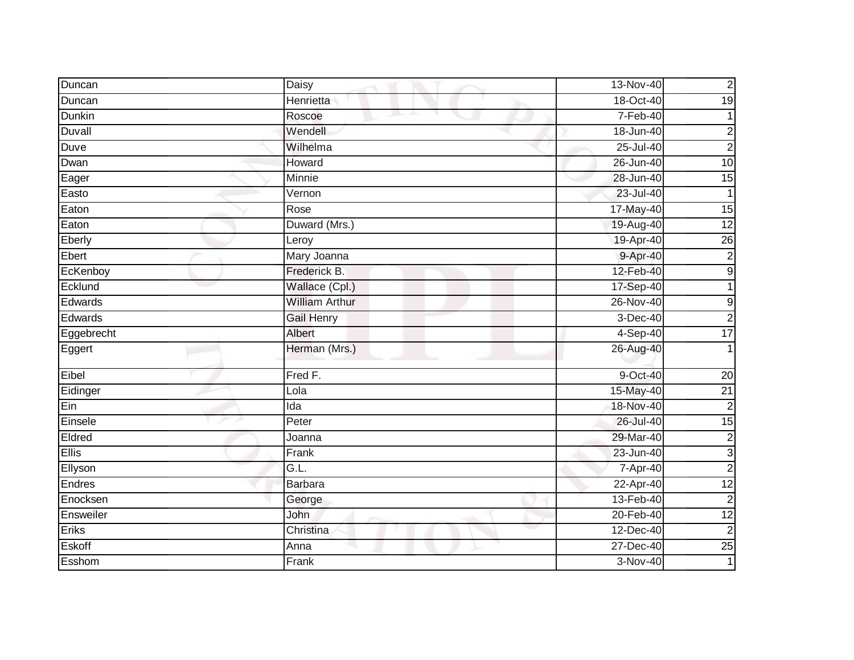| Duncan        | <b>Daisy</b>          | 13-Nov-40  | $\mathbf 2$             |
|---------------|-----------------------|------------|-------------------------|
| Duncan        | Henrietta             | 18-Oct-40  | $\overline{19}$         |
| <b>Dunkin</b> | Roscoe                | 7-Feb-40   |                         |
| Duvall        | Wendell               | 18-Jun-40  | $\overline{\mathbf{c}}$ |
| Duve          | Wilhelma              | 25-Jul-40  | $\overline{2}$          |
| Dwan          | Howard                | 26-Jun-40  | $\overline{10}$         |
| Eager         | Minnie                | 28-Jun-40  | 15                      |
| Easto         | Vernon                | 23-Jul-40  | $\mathbf 1$             |
| Eaton         | Rose                  | 17-May-40  | 15                      |
| Eaton         | Duward (Mrs.)         | 19-Aug-40  | 12                      |
| Eberly        | Leroy                 | 19-Apr-40  | $\overline{26}$         |
| Ebert         | Mary Joanna           | 9-Apr-40   | $\overline{2}$          |
| EcKenboy      | Frederick B.          | 12-Feb-40  | $\boldsymbol{9}$        |
| Ecklund       | Wallace (Cpl.)        | 17-Sep-40  |                         |
| Edwards       | <b>William Arthur</b> | 26-Nov-40  | $\boldsymbol{9}$        |
| Edwards       | <b>Gail Henry</b>     | 3-Dec-40   | $\overline{c}$          |
| Eggebrecht    | <b>Albert</b>         | 4-Sep-40   | $\overline{17}$         |
| Eggert        | Herman (Mrs.)         | 26-Aug-40  |                         |
| Eibel         | Fred F.               | 9-Oct-40   | 20                      |
| Eidinger      | Lola                  | 15-May-40  | $\overline{21}$         |
| Ein           | Ida                   | 18-Nov-40  | $\overline{2}$          |
| Einsele       | Peter                 | 26-Jul-40  | 15                      |
| Eldred        | Joanna                | 29-Mar-40  | $\overline{2}$          |
| Ellis         | Frank                 | 23-Jun-40  | $\mathsf 3$             |
| Ellyson       | G.L.                  | 7-Apr-40   | $\overline{2}$          |
| Endres        | <b>Barbara</b>        | 22-Apr-40  | $\overline{12}$         |
| Enocksen      | George                | 13-Feb-40  | $\overline{2}$          |
| Ensweiler     | John                  | 20-Feb-40  | 12                      |
| Eriks         | Christina             | 12-Dec-40  | $\overline{c}$          |
| Eskoff        | Anna                  | 27-Dec-40  | 25                      |
| Esshom        | Frank                 | $3-Nov-40$ | 1                       |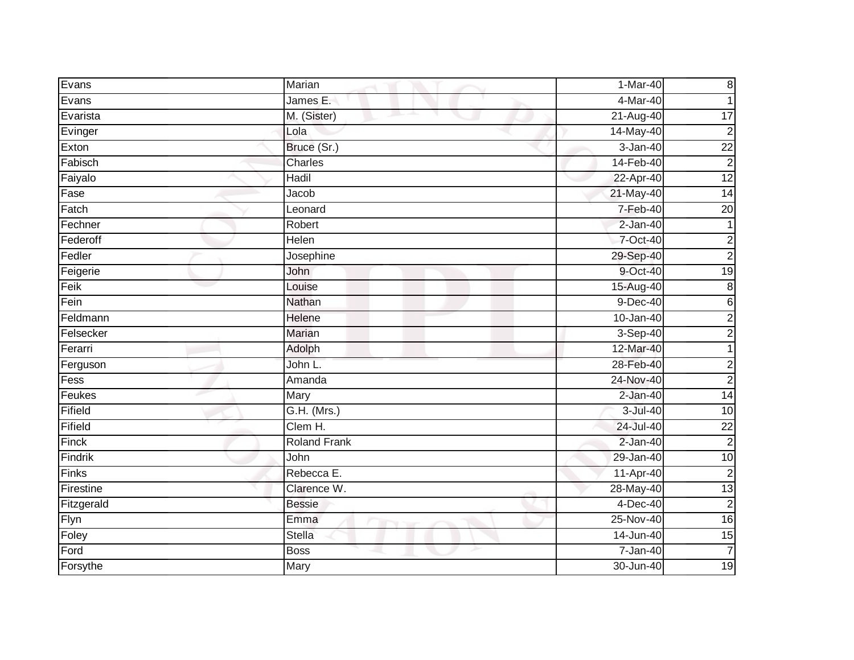| Evans                        | Marian              | 1-Mar-40     | $\boldsymbol{8}$        |
|------------------------------|---------------------|--------------|-------------------------|
| Evans                        | James E.            | 4-Mar-40     | 1                       |
| Evarista                     | M. (Sister)         | 21-Aug-40    | 17                      |
| Evinger                      | Lola                | 14-May-40    | $\overline{2}$          |
| Exton                        | Bruce (Sr.)         | $3 - Jan-40$ | $\overline{22}$         |
| Fabisch                      | Charles             | 14-Feb-40    | $\overline{c}$          |
| Faiyalo                      | Hadil               | 22-Apr-40    | 12                      |
| Fase                         | Jacob               | 21-May-40    | $\overline{14}$         |
| $\overline{\mathsf{Factor}}$ | Leonard             | 7-Feb-40     | $\overline{20}$         |
| Fechner                      | Robert              | $2-Jan-40$   |                         |
| Federoff                     | Helen               | 7-Oct-40     | $\overline{c}$          |
| Fedler                       | Josephine           | 29-Sep-40    | $\overline{a}$          |
| Feigerie                     | John                | 9-Oct-40     | 19                      |
| Feik                         | Louise              | 15-Aug-40    | $\bf 8$                 |
| Fein                         | Nathan              | $9-Dec-40$   | 6                       |
| Feldmann                     | Helene              | 10-Jan-40    | $\overline{c}$          |
| Felsecker                    | <b>Marian</b>       | 3-Sep-40     | $\overline{c}$          |
| Ferarri                      | Adolph              | 12-Mar-40    | 1                       |
| Ferguson                     | John L.             | 28-Feb-40    | $\overline{\mathbf{c}}$ |
| Fess                         | Amanda              | 24-Nov-40    | $\overline{c}$          |
| Feukes                       | Mary                | $2-Jan-40$   | 14                      |
| Fifield                      | G.H. (Mrs.)         | 3-Jul-40     | 10                      |
| Fifield                      | Clem H.             | 24-Jul-40    | $\overline{22}$         |
| Finck                        | <b>Roland Frank</b> | 2-Jan-40     | $\overline{c}$          |
| Findrik                      | John                | 29-Jan-40    | $\overline{10}$         |
| Finks                        | Rebecca E.          | $11-Apr-40$  | $\overline{2}$          |
| Firestine                    | Clarence W.         | 28-May-40    | 13                      |
| Fitzgerald                   | <b>Bessie</b>       | $4-Dec-40$   | $\overline{2}$          |
| Flyn                         | Emma                | 25-Nov-40    | 16                      |
| Foley                        | Stella              | 14-Jun-40    | 15                      |
| Ford                         | <b>Boss</b>         | 7-Jan-40     | $\overline{7}$          |
| Forsythe                     | Mary                | 30-Jun-40    | 19                      |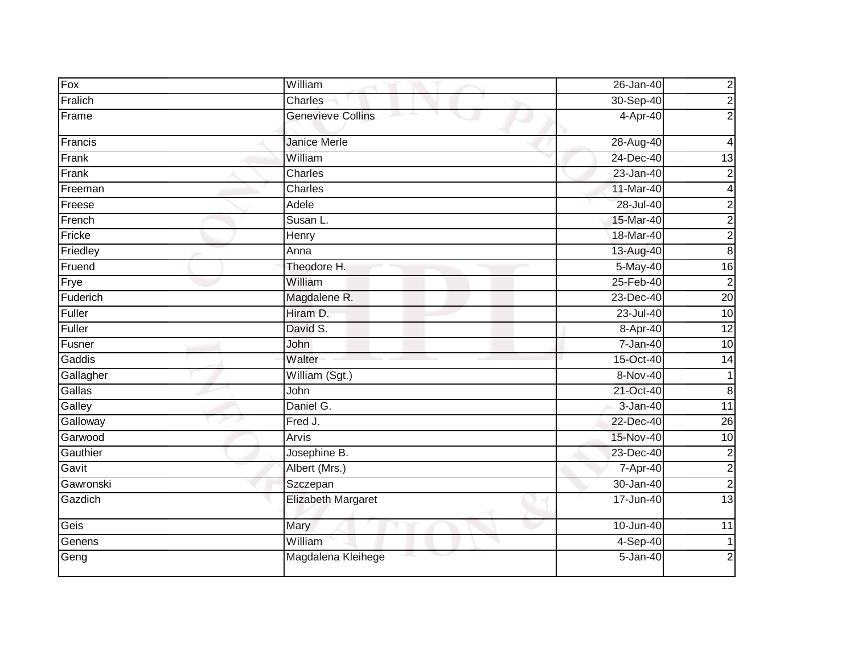| Fox       | William                   | 26-Jan-40     | $\overline{\mathbf{c}}$ |
|-----------|---------------------------|---------------|-------------------------|
| Fralich   | Charles                   | 30-Sep-40     | $\overline{c}$          |
| Frame     | <b>Genevieve Collins</b>  | 4-Apr-40      | $\overline{2}$          |
| Francis   | <b>Janice Merle</b>       | 28-Aug-40     | 4                       |
| Frank     | William                   | 24-Dec-40     | 13                      |
| Frank     | Charles                   | 23-Jan-40     | $\overline{2}$          |
| Freeman   | Charles                   | 11-Mar-40     | 4                       |
| Freese    | Adele                     | 28-Jul-40     | $\overline{c}$          |
| French    | Susan L.                  | 15-Mar-40     | $\overline{a}$          |
| Fricke    | Henry                     | 18-Mar-40     | $\overline{c}$          |
| Friedley  | Anna                      | 13-Aug-40     | 8                       |
| Fruend    | Theodore H.               | 5-May-40      | $\overline{16}$         |
| Frye      | William                   | 25-Feb-40     | $\overline{c}$          |
| Fuderich  | Magdalene R.              | 23-Dec-40     | $\overline{20}$         |
| Fuller    | Hiram D.                  | $23 -$ Jul-40 | 10                      |
| Fuller    | David S.                  | 8-Apr-40      | $\overline{12}$         |
| Fusner    | John                      | $7 - Jan-40$  | 10                      |
| Gaddis    | Walter                    | 15-Oct-40     | 14                      |
| Gallagher | William (Sgt.)            | 8-Nov-40      | 1                       |
| Gallas    | John                      | 21-Oct-40     | $\overline{8}$          |
| Galley    | Daniel G.                 | $3 - Jan-40$  | $\overline{11}$         |
| Galloway  | Fred J.                   | 22-Dec-40     | $\overline{26}$         |
| Garwood   | Arvis                     | 15-Nov-40     | 10                      |
| Gauthier  | Josephine B.              | 23-Dec-40     | $\overline{c}$          |
| Gavit     | Albert (Mrs.)             | 7-Apr-40      | $\overline{2}$          |
| Gawronski | Szczepan                  | 30-Jan-40     | $\overline{2}$          |
| Gazdich   | <b>Elizabeth Margaret</b> | 17-Jun-40     | 13                      |
| Geis      | Mary                      | 10-Jun-40     | 11                      |
| Genens    | William                   | $4-Sep-40$    |                         |
| Geng      | Magdalena Kleihege        | 5-Jan-40      | 2                       |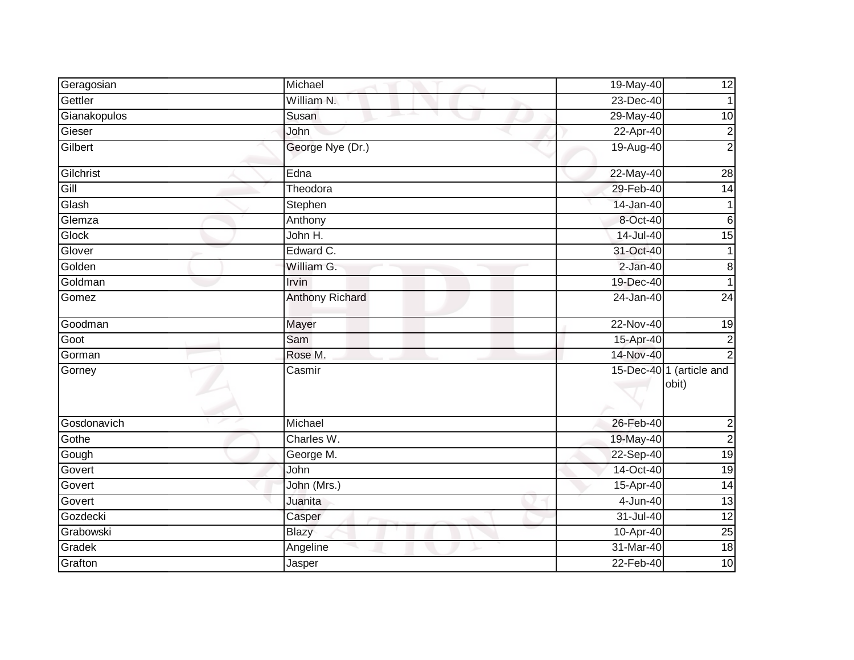| Geragosian   | Michael                | 19-May-40  | 12                                |
|--------------|------------------------|------------|-----------------------------------|
| Gettler      | William N.             | 23-Dec-40  | 1                                 |
| Gianakopulos | Susan                  | 29-May-40  | 10                                |
| Gieser       | John                   | 22-Apr-40  | $\overline{c}$                    |
| Gilbert      | George Nye (Dr.)       | 19-Aug-40  | $\overline{2}$                    |
| Gilchrist    | Edna                   | 22-May-40  | 28                                |
| Gill         | Theodora               | 29-Feb-40  | 14                                |
| Glash        | Stephen                | 14-Jan-40  | 1                                 |
| Glemza       | Anthony                | 8-Oct-40   | 6                                 |
| Glock        | John H.                | 14-Jul-40  | $\overline{15}$                   |
| Glover       | Edward C.              | 31-Oct-40  | 1                                 |
| Golden       | William G.             | $2-Jan-40$ | $\bf 8$                           |
| Goldman      | Irvin                  | 19-Dec-40  |                                   |
| Gomez        | <b>Anthony Richard</b> | 24-Jan-40  | $\overline{24}$                   |
| Goodman      | Mayer                  | 22-Nov-40  | 19                                |
| Goot         | Sam                    | 15-Apr-40  | $\overline{c}$                    |
| Gorman       | Rose M.                | 14-Nov-40  |                                   |
| Gorney       | Casmir                 |            | 15-Dec-40 1 (article and<br>obit) |
| Gosdonavich  | Michael                | 26-Feb-40  | $\overline{c}$                    |
| Gothe        | Charles W.             | 19-May-40  | $\overline{2}$                    |
| Gough        | George M.              | 22-Sep-40  | $\overline{19}$                   |
| Govert       | John                   | 14-Oct-40  | 19                                |
| Govert       | John (Mrs.)            | 15-Apr-40  | $\overline{14}$                   |
| Govert       | Juanita                | 4-Jun-40   | 13                                |
| Gozdecki     | Casper                 | 31-Jul-40  | $\overline{12}$                   |
| Grabowski    | <b>Blazy</b>           | 10-Apr-40  | $\overline{25}$                   |
| Gradek       | Angeline               | 31-Mar-40  | 18                                |
| Grafton      | Jasper                 | 22-Feb-40  | 10                                |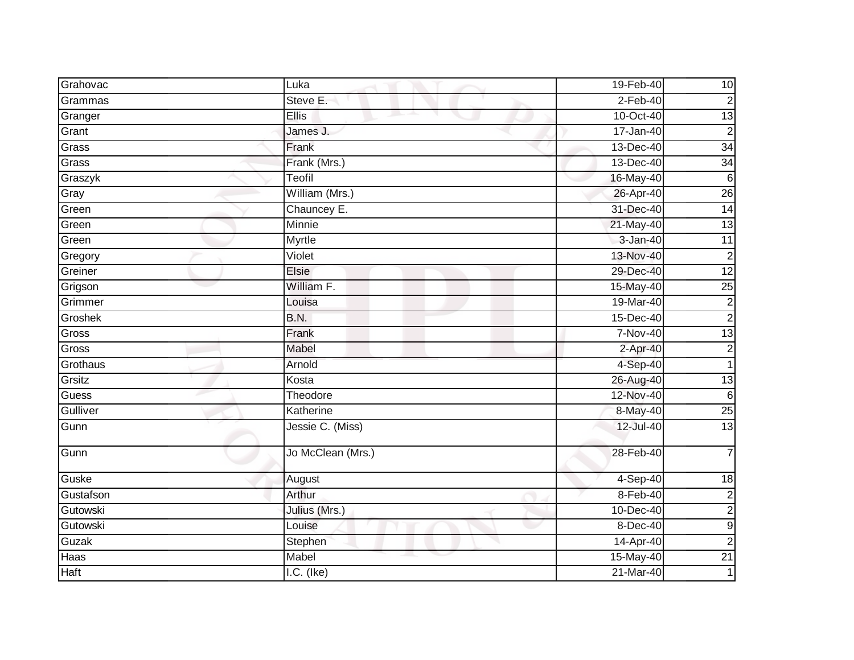| Grahovac  | Luka              | 19-Feb-40  | 10               |
|-----------|-------------------|------------|------------------|
| Grammas   | Steve E.          | $2-Feb-40$ | $\overline{2}$   |
| Granger   | <b>Ellis</b>      | 10-Oct-40  | $\overline{3}$   |
| Grant     | James J.          | 17-Jan-40  | $\overline{2}$   |
| Grass     | Frank             | 13-Dec-40  | 34               |
| Grass     | Frank (Mrs.)      | 13-Dec-40  | 34               |
| Graszyk   | Teofil            | 16-May-40  | 6                |
| Gray      | William (Mrs.)    | 26-Apr-40  | 26               |
| Green     | Chauncey E.       | 31-Dec-40  | 14               |
| Green     | Minnie            | 21-May-40  | 13               |
| Green     | Myrtle            | 3-Jan-40   | $\overline{11}$  |
| Gregory   | Violet            | 13-Nov-40  | $\overline{c}$   |
| Greiner   | Elsie             | 29-Dec-40  | 12               |
| Grigson   | William F.        | 15-May-40  | 25               |
| Grimmer   | Louisa            | 19-Mar-40  | $\overline{2}$   |
| Groshek   | <b>B.N.</b>       | 15-Dec-40  | $\overline{c}$   |
| Gross     | Frank             | 7-Nov-40   | 13               |
| Gross     | Mabel             | 2-Apr-40   | $\overline{c}$   |
| Grothaus  | Arnold            | 4-Sep-40   | 1                |
| Grsitz    | Kosta             | 26-Aug-40  | $\overline{3}$   |
| Guess     | Theodore          | 12-Nov-40  | $6\phantom{1}6$  |
| Gulliver  | Katherine         | 8-May-40   | 25               |
| Gunn      | Jessie C. (Miss)  | 12-Jul-40  | $\overline{3}$   |
| Gunn      | Jo McClean (Mrs.) | 28-Feb-40  | $\overline{7}$   |
| Guske     | August            | $4-Sep-40$ | 18               |
| Gustafson | Arthur            | 8-Feb-40   | $\overline{2}$   |
| Gutowski  | Julius (Mrs.)     | 10-Dec-40  | $\overline{c}$   |
| Gutowski  | Louise            | 8-Dec-40   | $\boldsymbol{9}$ |
| Guzak     | Stephen           | 14-Apr-40  | $\overline{c}$   |
| Haas      | Mabel             | 15-May-40  | $\overline{21}$  |
| Haft      | $I.C.$ (Ike)      | 21-Mar-40  |                  |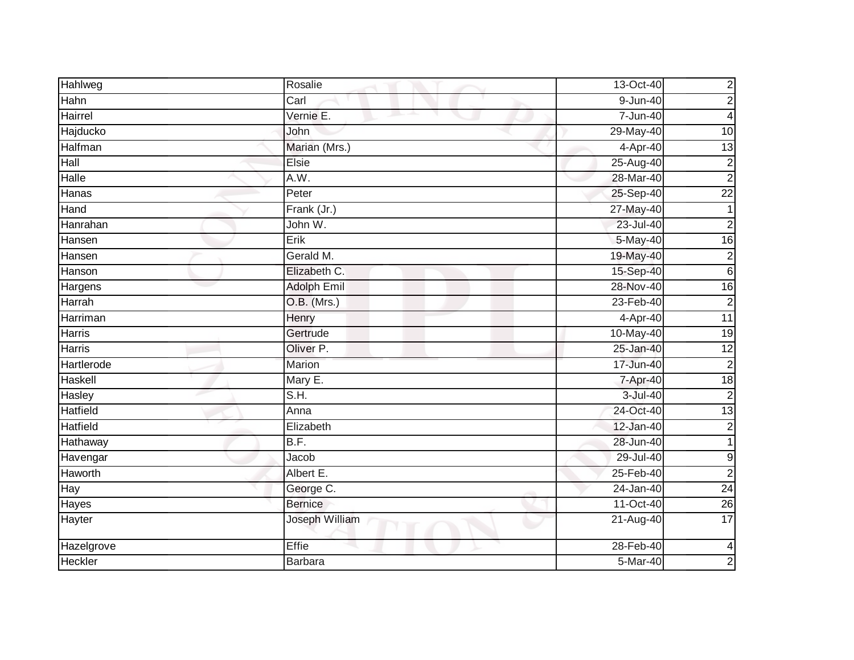| Hahlweg         | Rosalie            | 13-Oct-40              | $\overline{\mathbf{c}}$ |
|-----------------|--------------------|------------------------|-------------------------|
| Hahn            | Carl               | $\overline{9}$ -Jun-40 | $\overline{2}$          |
| <b>Hairrel</b>  | Vernie E.          | 7-Jun-40               | 4                       |
| Hajducko        | John               | 29-May-40              | 10                      |
| Halfman         | Marian (Mrs.)      | 4-Apr-40               | 13                      |
| Hall            | Elsie              | 25-Aug-40              | $\overline{c}$          |
| Halle           | A.W.               | 28-Mar-40              | $\overline{2}$          |
| Hanas           | Peter              | 25-Sep-40              | $\overline{22}$         |
| Hand            | Frank (Jr.)        | 27-May-40              |                         |
| Hanrahan        | John W.            | 23-Jul-40              | $\overline{2}$          |
| Hansen          | Erik               | 5-May-40               | 16                      |
| Hansen          | Gerald M.          | 19-May-40              | $\overline{c}$          |
| Hanson          | Elizabeth C.       | 15-Sep-40              | $\,6$                   |
| Hargens         | <b>Adolph Emil</b> | 28-Nov-40              | 16                      |
| Harrah          | O.B. (Mrs.)        | 23-Feb-40              | $\overline{2}$          |
| Harriman        | Henry              | 4-Apr-40               | 11                      |
| <b>Harris</b>   | Gertrude           | 10-May-40              | $\overline{19}$         |
| Harris          | Oliver P.          | 25-Jan-40              | $\overline{12}$         |
| Hartlerode      | <b>Marion</b>      | 17-Jun-40              | $\overline{2}$          |
| Haskell         | Mary E.            | 7-Apr-40               | 18                      |
| Hasley          | S.H.               | 3-Jul-40               | $\overline{2}$          |
| Hatfield        | Anna               | 24-Oct-40              | 13                      |
| <b>Hatfield</b> | Elizabeth          | 12-Jan-40              | $\overline{2}$          |
| Hathaway        | B.F.               | 28-Jun-40              | 1                       |
| Havengar        | Jacob              | 29-Jul-40              | $9\,$                   |
| Haworth         | Albert E.          | 25-Feb-40              | $\overline{2}$          |
| Hay             | George C.          | 24-Jan-40              | 24                      |
| Hayes           | <b>Bernice</b>     | 11-Oct-40              | $\overline{26}$         |
| Hayter          | Joseph William     | 21-Aug-40              | $\overline{17}$         |
| Hazelgrove      | Effie              | 28-Feb-40              | $\overline{4}$          |
| Heckler         | Barbara            | 5-Mar-40               | $\overline{2}$          |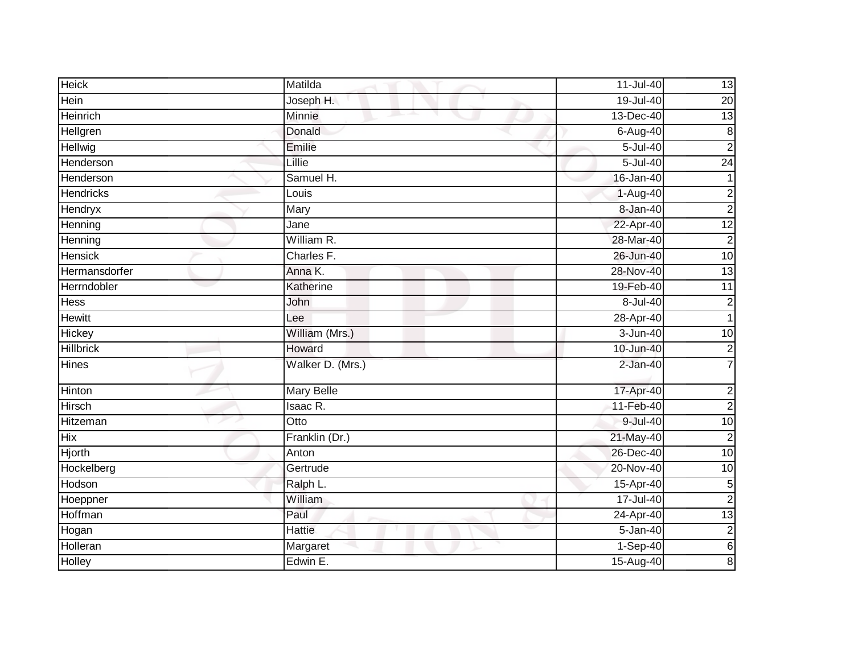| <b>Heick</b>     | Matilda           | 11-Jul-40       | 13              |
|------------------|-------------------|-----------------|-----------------|
| Hein             | Joseph H.         | $19 -$ Jul-40   | 20              |
| Heinrich         | Minnie            | 13-Dec-40       | 13              |
| Hellgren         | Donald            | 6-Aug-40        | $\bf 8$         |
| Hellwig          | Emilie            | $5 -$ Jul $-40$ | $\overline{2}$  |
| Henderson        | Lillie            | 5-Jul-40        | 24              |
| Henderson        | Samuel H.         | 16-Jan-40       | 1               |
| <b>Hendricks</b> | Louis             | $1-Aug-40$      | $\overline{c}$  |
| Hendryx          | Mary              | 8-Jan-40        | $\overline{2}$  |
| Henning          | Jane              | 22-Apr-40       | 12              |
| Henning          | William R.        | 28-Mar-40       | $\overline{c}$  |
| Hensick          | Charles F.        | 26-Jun-40       | 10              |
| Hermansdorfer    | Anna K.           | 28-Nov-40       | $\overline{13}$ |
| Herrndobler      | Katherine         | 19-Feb-40       | 11              |
| <b>Hess</b>      | John              | 8-Jul-40        | $\overline{c}$  |
| Hewitt           | Lee               | 28-Apr-40       |                 |
| Hickey           | William (Mrs.)    | 3-Jun-40        | 10              |
| <b>Hillbrick</b> | Howard            | 10-Jun-40       | $\overline{c}$  |
| <b>Hines</b>     | Walker D. (Mrs.)  | $2-Jan-40$      | $\overline{7}$  |
| Hinton           | <b>Mary Belle</b> | 17-Apr-40       | $\overline{c}$  |
| Hirsch           | Isaac R.          | 11-Feb-40       | $\overline{2}$  |
| Hitzeman         | Otto              | 9-Jul-40        | 10              |
| <b>Hix</b>       | Franklin (Dr.)    | 21-May-40       | $\overline{c}$  |
| Hjorth           | Anton             | 26-Dec-40       | 10              |
| Hockelberg       | Gertrude          | 20-Nov-40       | $\overline{10}$ |
| Hodson           | Ralph L.          | 15-Apr-40       | 5               |
| Hoeppner         | William           | 17-Jul-40       | $\overline{2}$  |
| Hoffman          | Paul              | 24-Apr-40       | 13              |
| Hogan            | <b>Hattie</b>     | $5 - Jan-40$    | $\overline{c}$  |
| Holleran         | Margaret          | 1-Sep-40        | $\overline{6}$  |
| Holley           | Edwin E.          | $15$ -Aug-40    | 8 <sup>1</sup>  |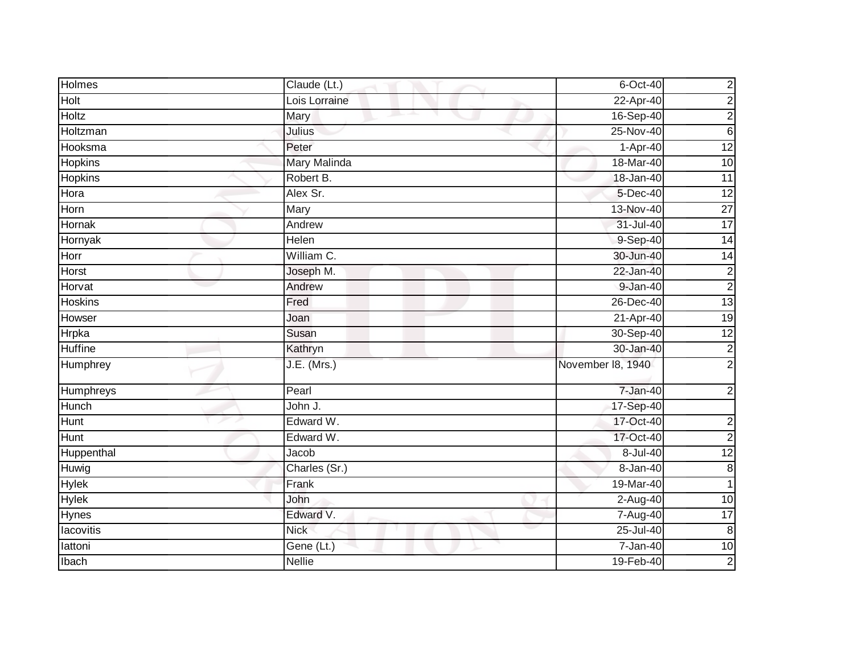| <b>Holmes</b>  | Claude (Lt.)       | 6-Oct-40          | $\overline{c}$          |
|----------------|--------------------|-------------------|-------------------------|
| Holt           | Lois Lorraine      | $22-Apr-40$       | $\overline{2}$          |
| <b>Holtz</b>   | Mary               | 16-Sep-40         | $\overline{2}$          |
| Holtzman       | Julius             | $25-Nov-40$       | $\,6$                   |
| Hooksma        | Peter              | 1-Apr-40          | 12                      |
| Hopkins        | Mary Malinda       | 18-Mar-40         | 10                      |
| <b>Hopkins</b> | Robert B.          | 18-Jan-40         | $\overline{11}$         |
| Hora           | Alex Sr.           | 5-Dec-40          | $\overline{12}$         |
| Horn           | Mary               | 13-Nov-40         | $\overline{27}$         |
| <b>Hornak</b>  | Andrew             | 31-Jul-40         | $\overline{17}$         |
| Hornyak        | Helen              | 9-Sep-40          | $\overline{14}$         |
| Horr           | William C.         | 30-Jun-40         | 14                      |
| Horst          | Joseph M.          | $22 - Jan-40$     | $\overline{c}$          |
| Horvat         | Andrew             | 9-Jan-40          | $\overline{2}$          |
| <b>Hoskins</b> | Fred               | 26-Dec-40         | $\overline{13}$         |
| Howser         | Joan               | 21-Apr-40         | $\overline{19}$         |
| <b>Hrpka</b>   | Susan              | 30-Sep-40         | $\overline{12}$         |
| Huffine        | Kathryn            | 30-Jan-40         | $\overline{c}$          |
| Humphrey       | <b>J.E.</b> (Mrs.) | November 18, 1940 | $\overline{2}$          |
| Humphreys      | Pearl              | 7-Jan-40          | $\overline{c}$          |
| Hunch          | John J.            | 17-Sep-40         |                         |
| Hunt           | Edward W.          | 17-Oct-40         | $\overline{\mathbf{c}}$ |
| <b>Hunt</b>    | Edward W.          | 17-Oct-40         | $\overline{2}$          |
| Huppenthal     | Jacob              | 8-Jul-40          | 12                      |
| Huwig          | Charles (Sr.)      | 8-Jan-40          | $\bf 8$                 |
| <b>Hylek</b>   | Frank              | 19-Mar-40         | 1                       |
| <b>Hylek</b>   | John               | 2-Aug-40          | 10                      |
| Hynes          | Edward V.          | 7-Aug-40          | $\overline{17}$         |
| lacovitis      | <b>Nick</b>        | 25-Jul-40         | $\, 8$                  |
| lattoni        | Gene (Lt.)         | 7-Jan-40          | 10                      |
| Ibach          | Nellie             | 19-Feb-40         | $\overline{2}$          |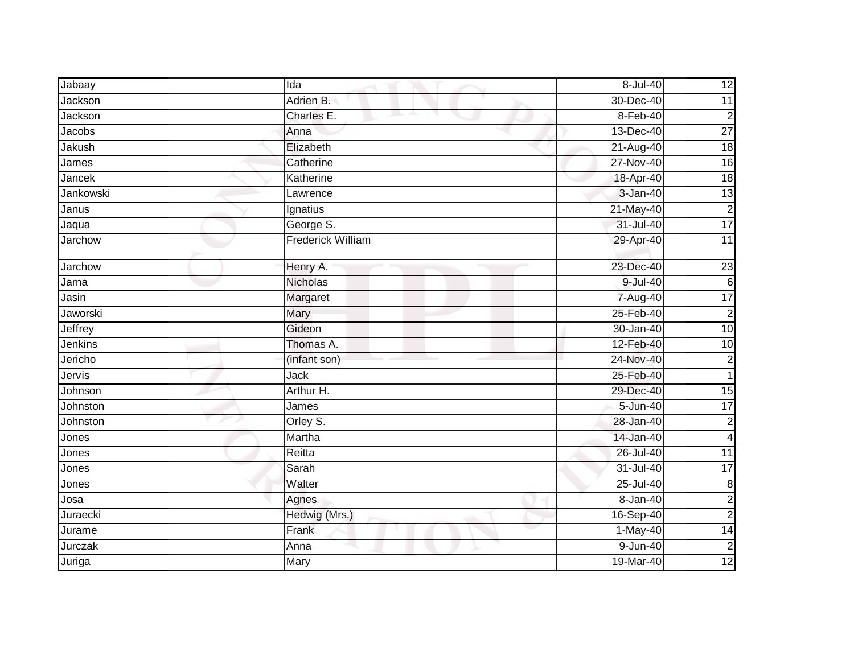| Jabaay         | Ida                      | 8-Jul-40     | 12                      |
|----------------|--------------------------|--------------|-------------------------|
| Jackson        | Adrien B.                | 30-Dec-40    | 11                      |
| Jackson        | Charles E.               | 8-Feb-40     | $\overline{c}$          |
| Jacobs         | Anna                     | 13-Dec-40    | $\overline{27}$         |
| Jakush         | Elizabeth                | 21-Aug-40    | 18                      |
| James          | Catherine                | 27-Nov-40    | 16                      |
| Jancek         | Katherine                | 18-Apr-40    | 18                      |
| Jankowski      | Lawrence                 | $3 - Jan-40$ | 13                      |
| Janus          | Ignatius                 | 21-May-40    | $\overline{2}$          |
| Jaqua          | George S.                | 31-Jul-40    | $\overline{17}$         |
| Jarchow        | <b>Frederick William</b> | 29-Apr-40    | $\overline{11}$         |
| Jarchow        | Henry A.                 | 23-Dec-40    | $\overline{23}$         |
| Jarna          | <b>Nicholas</b>          | 9-Jul-40     | 6                       |
| Jasin          | Margaret                 | 7-Aug-40     | 17                      |
| Jaworski       | Mary                     | 25-Feb-40    | $\overline{2}$          |
| <b>Jeffrey</b> | Gideon                   | 30-Jan-40    | 10                      |
| Jenkins        | Thomas A.                | 12-Feb-40    | 10                      |
| Jericho        | (infant son)             | 24-Nov-40    | $\boldsymbol{2}$        |
| Jervis         | Jack                     | 25-Feb-40    | $\mathbf{1}$            |
| Johnson        | Arthur H.                | 29-Dec-40    | 15                      |
| Johnston       | James                    | 5-Jun-40     | 17                      |
| Johnston       | Orley S.                 | 28-Jan-40    | $\mathbf{2}$            |
| Jones          | Martha                   | 14-Jan-40    | $\overline{\mathbf{4}}$ |
| Jones          | Reitta                   | 26-Jul-40    | $\overline{11}$         |
| Jones          | Sarah                    | 31-Jul-40    | $\overline{17}$         |
| Jones          | Walter                   | 25-Jul-40    | $\boldsymbol{8}$        |
| Josa           | Agnes                    | 8-Jan-40     | $\overline{2}$          |
| Juraecki       | Hedwig (Mrs.)            | 16-Sep-40    | $\boldsymbol{2}$        |
| Jurame         | Frank                    | 1-May-40     | 14                      |
| Jurczak        | Anna                     | 9-Jun-40     | $\overline{2}$          |
| Juriga         | Mary                     | 19-Mar-40    | 12                      |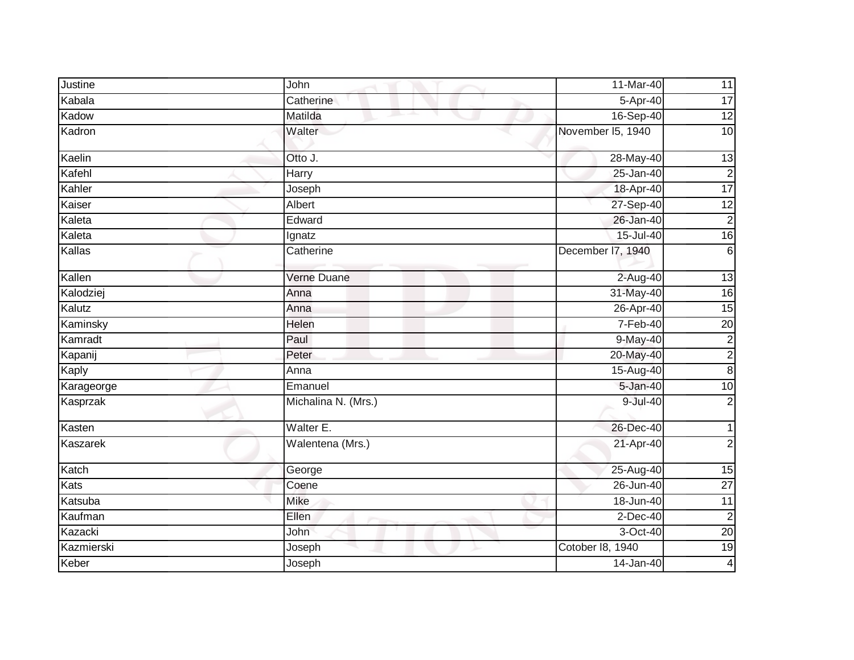| Justine    | John                | 11-Mar-40         | 11              |
|------------|---------------------|-------------------|-----------------|
| Kabala     | Catherine           | 5-Apr-40          | $\overline{17}$ |
| Kadow      | Matilda<br>ᆠ        | 16-Sep-40         | 12              |
| Kadron     | Walter              | November I5, 1940 | 10              |
| Kaelin     | Otto J.             | 28-May-40         | 13              |
| Kafehl     | Harry               | 25-Jan-40         | $\overline{c}$  |
| Kahler     | Joseph              | 18-Apr-40         | 17              |
| Kaiser     | Albert              | 27-Sep-40         | 12              |
| Kaleta     | Edward              | 26-Jan-40         | $\overline{2}$  |
| Kaleta     | Ignatz              | $15 -$ Jul-40     | $\overline{16}$ |
| Kallas     | Catherine           | December I7, 1940 | 6               |
| Kallen     | Verne Duane         | 2-Aug-40          | 13              |
| Kalodziej  | Anna                | 31-May-40         | 16              |
| Kalutz     | Anna                | 26-Apr-40         | 15              |
| Kaminsky   | Helen               | $7-Feb-40$        | $\overline{20}$ |
| Kamradt    | Paul                | $9-May-40$        | $\overline{c}$  |
| Kapanij    | Peter               | 20-May-40         | $\overline{2}$  |
| Kaply      | Anna                | 15-Aug-40         | $\infty$        |
| Karageorge | Emanuel             | 5-Jan-40          | $\overline{10}$ |
| Kasprzak   | Michalina N. (Mrs.) | 9-Jul-40          | $\overline{2}$  |
| Kasten     | Walter E.           | 26-Dec-40         |                 |
| Kaszarek   | Walentena (Mrs.)    | 21-Apr-40         | $\overline{2}$  |
| Katch      | George              | 25-Aug-40         | 15              |
| Kats       | Coene               | 26-Jun-40         | $\overline{27}$ |
| Katsuba    | <b>Mike</b>         | 18-Jun-40         | 11              |
| Kaufman    | Ellen               | $2$ -Dec-40       | $\overline{c}$  |
| Kazacki    | John                | 3-Oct-40          | 20              |
| Kazmierski | Joseph              | Cotober 18, 1940  | 19              |
| Keber      | Joseph              | 14-Jan-40         | $\vert 4 \vert$ |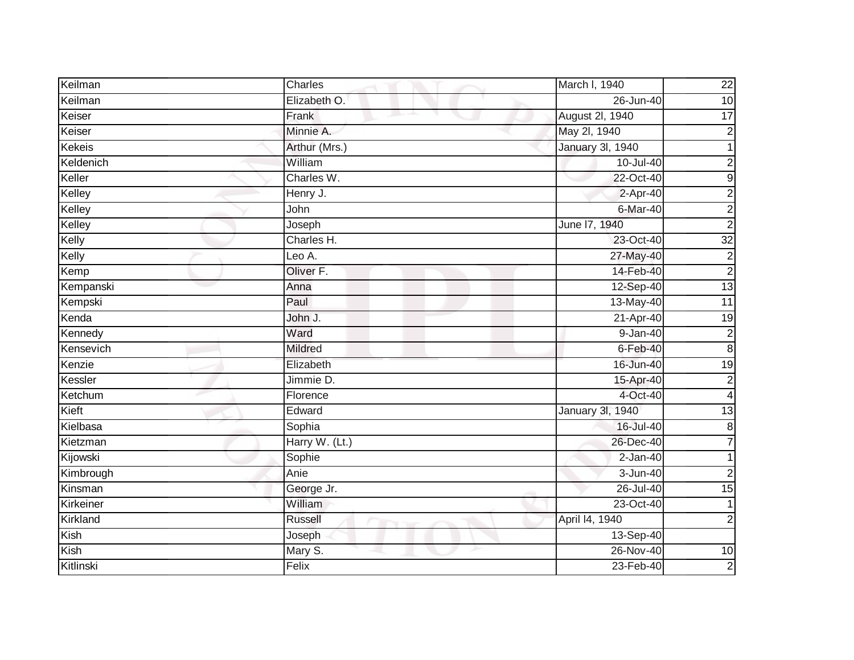| Keilman       | Charles        | March I, 1940           | $\overline{22}$ |
|---------------|----------------|-------------------------|-----------------|
| Keilman       | Elizabeth O.   | 26-Jun-40               | $\overline{10}$ |
| Keiser        | Frank          | August 2l, 1940         | 17              |
| Keiser        | Minnie A.      | May 2l, 1940            | $\overline{2}$  |
| <b>Kekeis</b> | Arthur (Mrs.)  | <b>January 3l, 1940</b> |                 |
| Keldenich     | William        | 10-Jul-40               | $\overline{c}$  |
| Keller        | Charles W.     | 22-Oct-40               | G)              |
| Kelley        | Henry J.       | 2-Apr-40                | $\overline{c}$  |
| Kelley        | John           | 6-Mar-40                | $\overline{c}$  |
| Kelley        | Joseph         | June 17, 1940           | $\overline{2}$  |
| Kelly         | Charles H.     | 23-Oct-40               | $\overline{32}$ |
| Kelly         | Leo A.         | 27-May-40               | $\mathbf 2$     |
| Kemp          | Oliver F.      | 14-Feb-40               | $\overline{2}$  |
| Kempanski     | Anna           | 12-Sep-40               | $\overline{13}$ |
| Kempski       | Paul           | 13-May-40               | $\overline{11}$ |
| Kenda         | John J.        | 21-Apr-40               | $\overline{19}$ |
| Kennedy       | Ward           | $9 - Jan-40$            | $\overline{2}$  |
| Kensevich     | <b>Mildred</b> | $6$ -Feb-40             | $\bf 8$         |
| Kenzie        | Elizabeth      | 16-Jun-40               | 19              |
| Kessler       | Jimmie D.      | 15-Apr-40               | $\overline{2}$  |
| Ketchum       | Florence       | 4-Oct-40                | 4               |
| Kieft         | Edward         | <b>January 3l, 1940</b> | 13              |
| Kielbasa      | Sophia         | 16-Jul-40               | $\bf 8$         |
| Kietzman      | Harry W. (Lt.) | 26-Dec-40               | 7               |
| Kijowski      | Sophie         | $2-Jan-40$              |                 |
| Kimbrough     | Anie           | $3 - Jun-40$            | $\overline{2}$  |
| Kinsman       | George Jr.     | 26-Jul-40               | 15              |
| Kirkeiner     | William        | 23-Oct-40               | 1               |
| Kirkland      | <b>Russell</b> | April 14, 1940          | $\overline{2}$  |
| Kish          | Joseph         | 13-Sep-40               |                 |
| Kish          | Mary S.        | 26-Nov-40               | 10              |
| Kitlinski     | Felix          | 23-Feb-40               | $\overline{2}$  |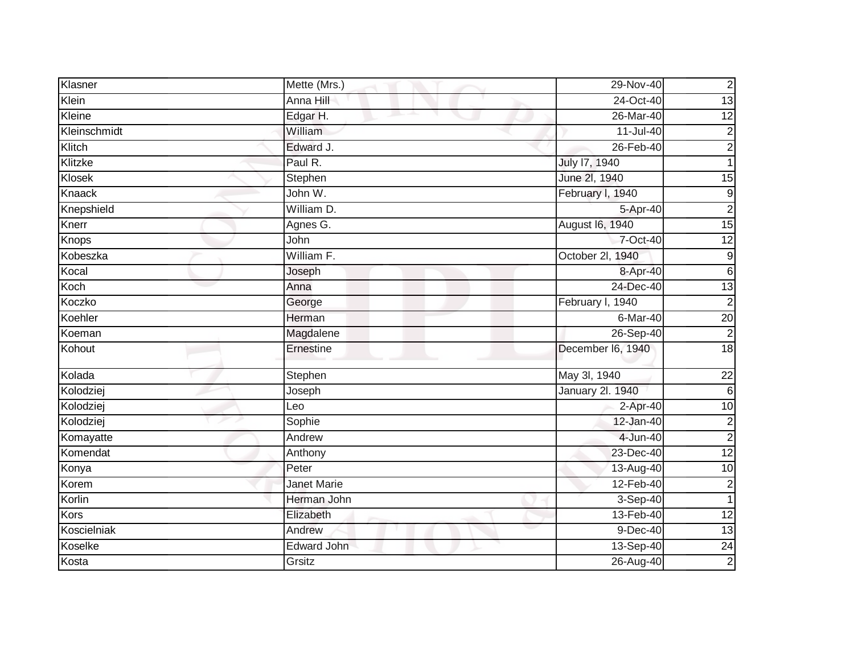| Klasner      | Mette (Mrs.)                     | 29-Nov-40               | $\mathbf 2$             |
|--------------|----------------------------------|-------------------------|-------------------------|
| Klein        | Anna Hill                        | 24-Oct-40               | $\overline{13}$         |
| Kleine       | Edgar H.<br>and the second state | 26-Mar-40               | 12                      |
| Kleinschmidt | William                          | 11-Jul-40               | $\boldsymbol{2}$        |
| Klitch       | Edward J.                        | 26-Feb-40               | $\overline{2}$          |
| Klitzke      | Paul R.                          | July 17, 1940           | 1                       |
| Klosek       | Stephen                          | June 2l, 1940           | 15                      |
| Knaack       | John W.                          | February I, 1940        | $\boldsymbol{9}$        |
| Knepshield   | William D.                       | 5-Apr-40                | $\overline{2}$          |
| Knerr        | Agnes G.                         | August 16, 1940         | 15                      |
| Knops        | John                             | 7-Oct-40                | 12                      |
| Kobeszka     | William F.                       | October 2l, 1940        | $\boldsymbol{9}$        |
| Kocal        | Joseph                           | 8-Apr-40                | $6\phantom{.}6$         |
| Koch         | Anna                             | 24-Dec-40               | 13                      |
| Koczko       | George                           | February I, 1940        | $\overline{2}$          |
| Koehler      | Herman                           | 6-Mar-40                | $\overline{20}$         |
| Koeman       | Magdalene                        | 26-Sep-40               | $\overline{2}$          |
| Kohout       | Ernestine                        | December I6, 1940       | 18                      |
| Kolada       | Stephen                          | May 3l, 1940            | 22                      |
| Kolodziej    | Joseph                           | <b>January 2l. 1940</b> | $6\phantom{.}6$         |
| Kolodziej    | Leo                              | $2-Apr-40$              | $\overline{10}$         |
| Kolodziej    | Sophie                           | 12-Jan-40               | $\boldsymbol{2}$        |
| Komayatte    | Andrew                           | 4-Jun-40                | $\overline{2}$          |
| Komendat     | Anthony                          | 23-Dec-40               | 12                      |
| Konya        | Peter                            | 13-Aug-40               | 10                      |
| Korem        | <b>Janet Marie</b>               | 12-Feb-40               | $\overline{\mathbf{c}}$ |
| Korlin       | Herman John                      | 3-Sep-40                | $\mathbf 1$             |
| Kors         | Elizabeth                        | 13-Feb-40               | $\overline{12}$         |
| Koscielniak  | Andrew                           | 9-Dec-40                | 13                      |
| Koselke      | Edward John                      | 13-Sep-40               | $\overline{24}$         |
| Kosta        | Grsitz                           | $26$ -Aug-40            | $\overline{c}$          |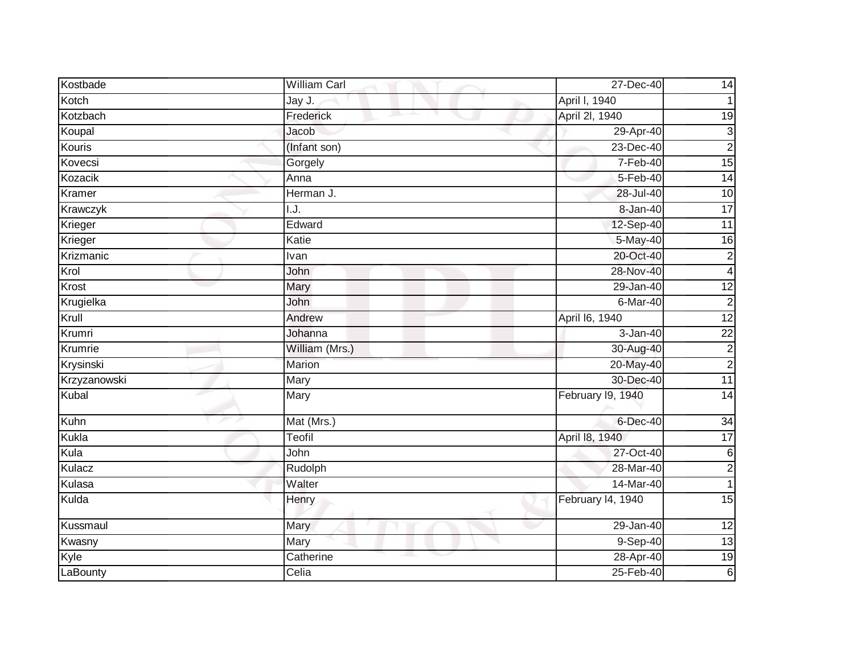| Kostbade     | William Carl   | 27-Dec-40         | 14                      |
|--------------|----------------|-------------------|-------------------------|
| Kotch        | Jay J.         | April I, 1940     |                         |
| Kotzbach     | Frederick      | April 2I, 1940    | $\overline{19}$         |
| Koupal       | Jacob          | 29-Apr-40         | 3                       |
| Kouris       | (Infant son)   | 23-Dec-40         | $\overline{2}$          |
| Kovecsi      | Gorgely        | 7-Feb-40          | $\overline{15}$         |
| Kozacik      | Anna           | 5-Feb-40          | $\overline{14}$         |
| Kramer       | Herman J.      | 28-Jul-40         | 10                      |
| Krawczyk     | I.J.           | 8-Jan-40          | $\overline{17}$         |
| Krieger      | Edward         | 12-Sep-40         | 11                      |
| Krieger      | Katie          | 5-May-40          | 16                      |
| Krizmanic    | Ivan           | 20-Oct-40         | $\overline{2}$          |
| Krol         | John           | 28-Nov-40         | 4                       |
| Krost        | <b>Mary</b>    | 29-Jan-40         | $\overline{12}$         |
| Krugielka    | John           | 6-Mar-40          | $\overline{2}$          |
| Krull        | Andrew         | April 16, 1940    | 12                      |
| Krumri       | Johanna        | $3 - Jan-40$      | $\overline{22}$         |
| Krumrie      | William (Mrs.) | 30-Aug-40         | $\overline{\mathbf{c}}$ |
| Krysinski    | Marion         | 20-May-40         | $\overline{2}$          |
| Krzyzanowski | <b>Mary</b>    | 30-Dec-40         | 11                      |
| Kubal        | Mary           | February 19, 1940 | $\overline{14}$         |
| Kuhn         | Mat (Mrs.)     | 6-Dec-40          | 34                      |
| Kukla        | Teofil         | April 18, 1940    | 17                      |
| Kula         | John           | 27-Oct-40         | 6                       |
| Kulacz       | Rudolph        | 28-Mar-40         | $\mathbf 2$             |
| Kulasa       | Walter         | $14-Mar-40$       | 1                       |
| Kulda        | Henry          | February 14, 1940 | 15                      |
| Kussmaul     | Mary           | 29-Jan-40         | $\overline{12}$         |
| Kwasny       | Mary           | 9-Sep-40          | 13                      |
| Kyle         | Catherine      | 28-Apr-40         | 19                      |
| LaBounty     | Celia          | 25-Feb-40         | $\,$ 6                  |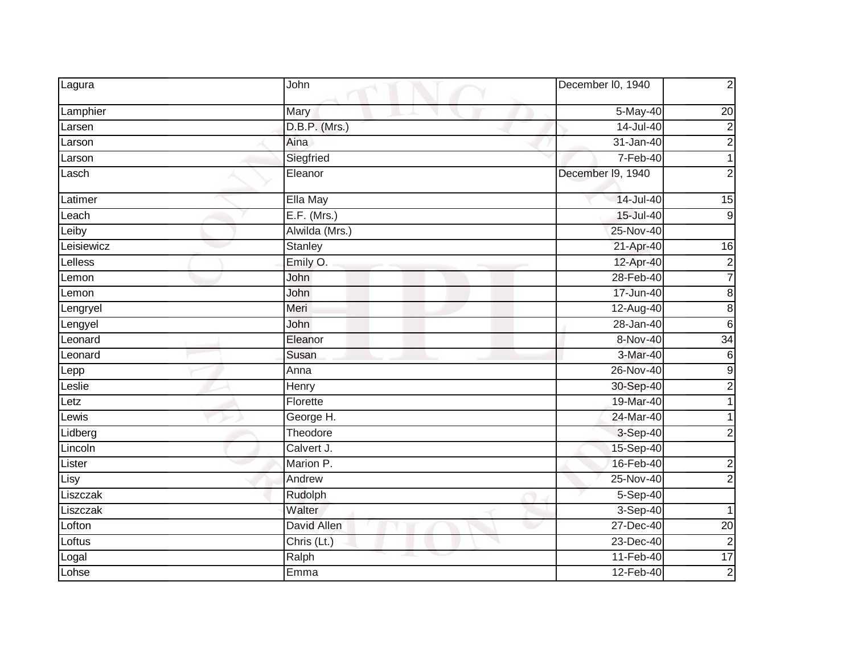| Lagura     | John           | December I0, 1940 | $\mathbf 2$      |
|------------|----------------|-------------------|------------------|
| Lamphier   | Mary           | 5-May-40          | $\overline{20}$  |
| Larsen     | D.B.P. (Mrs.)  | $14$ -Jul-40      | $\overline{2}$   |
| Larson     | Aina           | $31 - Jan-40$     | $\overline{2}$   |
| Larson     | Siegfried      | 7-Feb-40          | $\mathbf{1}$     |
| Lasch      | Eleanor        | December I9, 1940 | $\overline{2}$   |
| Latimer    | Ella May       | 14-Jul-40         | 15               |
| Leach      | $E.F.$ (Mrs.)  | 15-Jul-40         | $\overline{9}$   |
| Leiby      | Alwilda (Mrs.) | 25-Nov-40         |                  |
| Leisiewicz | Stanley        | 21-Apr-40         | 16               |
| Lelless    | Emily O.       | 12-Apr-40         | $\overline{2}$   |
| Lemon      | John           | 28-Feb-40         | $\overline{7}$   |
| Lemon      | John           | 17-Jun-40         | $\overline{8}$   |
| Lengryel   | Meri           | 12-Aug-40         | $\overline{8}$   |
| Lengyel    | John           | 28-Jan-40         | $\overline{6}$   |
| Leonard    | Eleanor        | 8-Nov-40          | 34               |
| Leonard    | Susan          | 3-Mar-40          | $\overline{6}$   |
| Lepp       | Anna           | 26-Nov-40         | $\overline{9}$   |
| Leslie     | Henry          | 30-Sep-40         | $\overline{c}$   |
| Letz       | Florette       | 19-Mar-40         |                  |
| Lewis      | George H.      | 24-Mar-40         |                  |
| Lidberg    | Theodore       | 3-Sep-40          | $\overline{2}$   |
| Lincoln    | Calvert J.     | 15-Sep-40         |                  |
| Lister     | Marion P.      | 16-Feb-40         | $\boldsymbol{2}$ |
| Lisy       | Andrew         | 25-Nov-40         | $\overline{2}$   |
| Liszczak   | Rudolph        | $5-Sep-40$        |                  |
| Liszczak   | Walter         | 3-Sep-40          | 1                |
| Lofton     | David Allen    | 27-Dec-40         | $\overline{20}$  |
| Loftus     | Chris (Lt.)    | $23-Dec-40$       | $\overline{c}$   |
| Logal      | Ralph          | 11-Feb-40         | $\overline{17}$  |
| Lohse      | Emma           | 12-Feb-40         | $\overline{2}$   |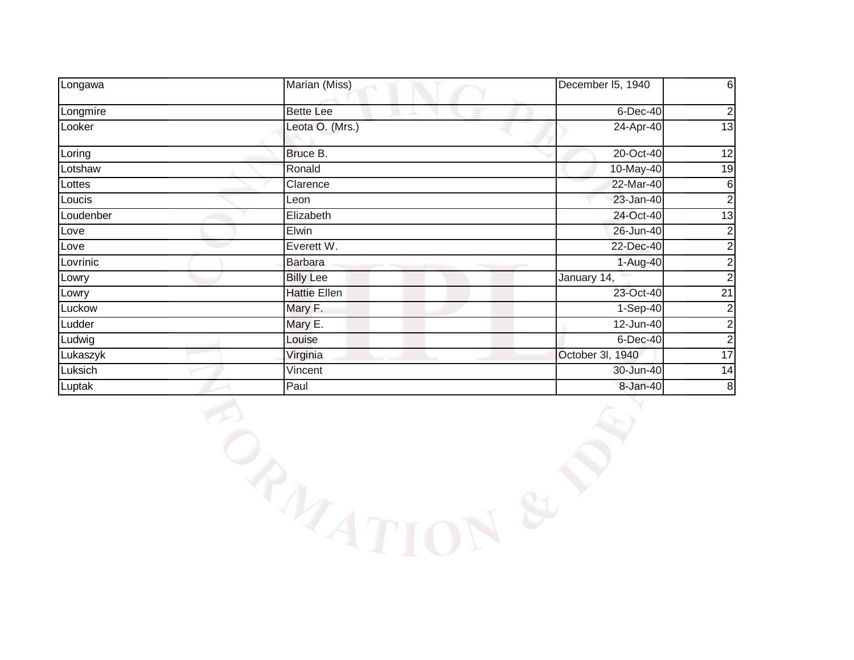| Longawa   | Marian (Miss)       | December I5, 1940 | 6              |
|-----------|---------------------|-------------------|----------------|
| Longmire  | <b>Bette Lee</b>    | $6$ -Dec-40       | $\overline{c}$ |
| Looker    | Leota O. (Mrs.)     | 24-Apr-40         | 13             |
| Loring    | Bruce B.            | 20-Oct-40         | 12             |
| Lotshaw   | Ronald              | 10-May-40         | 19             |
| Lottes    | Clarence            | 22-Mar-40         | 6              |
| Loucis    | Leon                | 23-Jan-40         | 2              |
| Loudenber | Elizabeth           | 24-Oct-40         | 13             |
| Love      | Elwin               | 26-Jun-40         | 2              |
| Love      | Everett W.          | 22-Dec-40         | 2              |
| Lovrinic  | <b>Barbara</b>      | $1-Aug-40$        | 2              |
| Lowry     | <b>Billy Lee</b>    | January 14,       | 2              |
| Lowry     | <b>Hattie Ellen</b> | 23-Oct-40         | 21             |
| Luckow    | Mary F.             | $1-Sep-40$        | 2              |
| Ludder    | Mary E.             | 12-Jun-40         | $\mathbf{2}$   |
| Ludwig    | Louise              | $6$ -Dec-40       | 2              |
| Lukaszyk  | Virginia            | October 3I, 1940  | 17             |
| Luksich   | Vincent             | 30-Jun-40         | 14             |
| Luptak    | Paul                | 8-Jan-40          | $\bf8$         |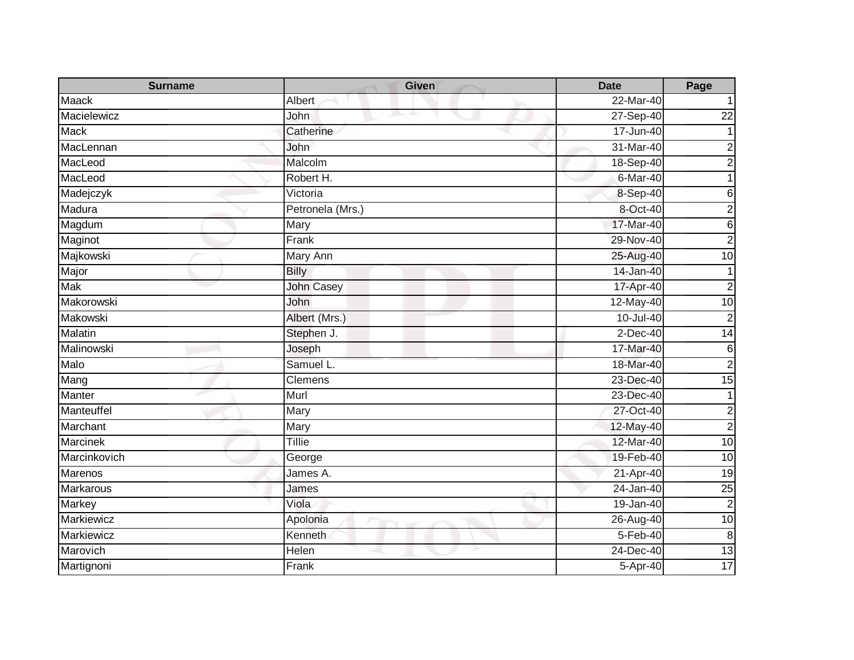| <b>Surname</b>   | <b>Given</b>      | <b>Date</b>   | Page             |
|------------------|-------------------|---------------|------------------|
| Maack            | Albert            | 22-Mar-40     |                  |
| Macielewicz      | John              | 27-Sep-40     | $\overline{22}$  |
| <b>Mack</b>      | Catherine         | $17 - Jun-40$ |                  |
| MacLennan        | John              | 31-Mar-40     | 2                |
| MacLeod          | Malcolm           | 18-Sep-40     | 2                |
| MacLeod          | Robert H.         | 6-Mar-40      |                  |
| Madejczyk        | Victoria          | 8-Sep-40      | 6                |
| Madura           | Petronela (Mrs.)  | 8-Oct-40      | $\overline{2}$   |
| Magdum           | Mary              | 17-Mar-40     | $6\phantom{.}6$  |
| Maginot          | Frank             | 29-Nov-40     | $\overline{c}$   |
| Majkowski        | Mary Ann          | 25-Aug-40     | $\overline{10}$  |
| Major            | <b>Billy</b>      | 14-Jan-40     |                  |
| <b>Mak</b>       | <b>John Casey</b> | 17-Apr-40     | $\overline{c}$   |
| Makorowski       | John              | 12-May-40     | 10               |
| <b>Makowski</b>  | Albert (Mrs.)     | 10-Jul-40     | $\overline{2}$   |
| <b>Malatin</b>   | Stephen J.        | $2$ -Dec-40   | $\overline{14}$  |
| Malinowski       | Joseph            | 17-Mar-40     | 6                |
| Malo             | Samuel L.         | 18-Mar-40     | $\overline{2}$   |
| Mang             | Clemens           | 23-Dec-40     | $\overline{15}$  |
| Manter           | Murl              | 23-Dec-40     |                  |
| Manteuffel       | Mary              | 27-Oct-40     | $\overline{c}$   |
| Marchant         | Mary              | 12-May-40     | $\overline{c}$   |
| <b>Marcinek</b>  | Tillie            | 12-Mar-40     | 10               |
| Marcinkovich     | George            | 19-Feb-40     | 10               |
| Marenos          | James A.          | 21-Apr-40     | $\overline{19}$  |
| <b>Markarous</b> | James             | $24$ -Jan-40  | 25               |
| Markey           | Viola             | 19-Jan-40     | $\overline{2}$   |
| Markiewicz       | Apolonia          | 26-Aug-40     | 10               |
| Markiewicz       | Kenneth           | 5-Feb-40      | $\boldsymbol{8}$ |
| Marovich         | Helen             | $24$ -Dec-40  | 13               |
| Martignoni       | Frank             | 5-Apr-40      | 17               |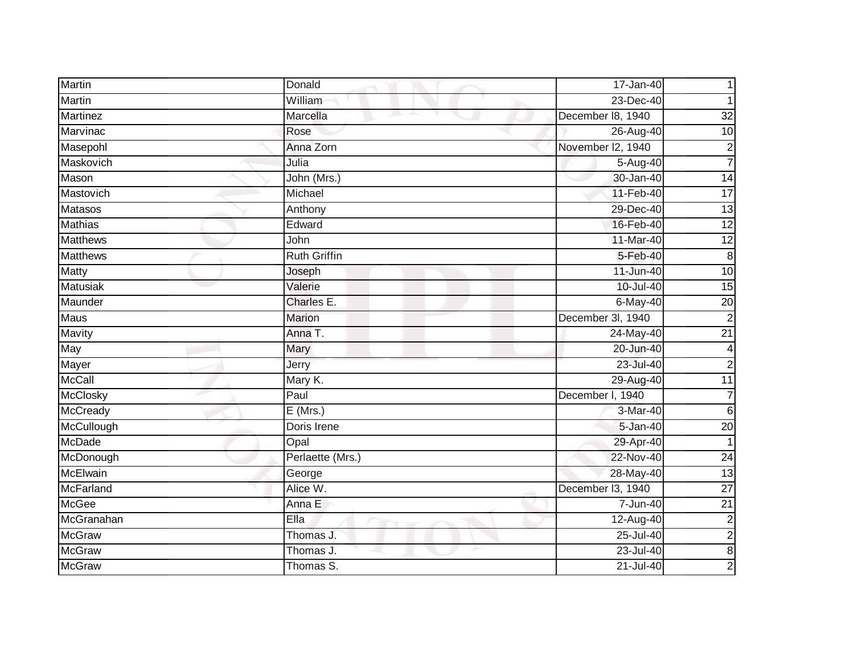| <b>Martin</b>    | Donald              | 17-Jan-40         |                 |
|------------------|---------------------|-------------------|-----------------|
| Martin           | William             | 23-Dec-40         |                 |
| Martinez         | Marcella            | December 18, 1940 | $\overline{32}$ |
| Marvinac         | Rose                | 26-Aug-40         | 10              |
| Masepohl         | Anna Zorn           | November I2, 1940 | $\overline{2}$  |
| Maskovich        | Julia               | 5-Aug-40          | 7               |
| Mason            | John (Mrs.)         | 30-Jan-40         | $\overline{14}$ |
| Mastovich        | Michael             | 11-Feb-40         | $\overline{17}$ |
| Matasos          | Anthony             | 29-Dec-40         | $\overline{13}$ |
| <b>Mathias</b>   | Edward              | 16-Feb-40         | 12              |
| <b>Matthews</b>  | John                | 11-Mar-40         | $\overline{12}$ |
| <b>Matthews</b>  | <b>Ruth Griffin</b> | 5-Feb-40          | 8               |
| Matty            | Joseph              | 11-Jun-40         | 10              |
| <b>Matusiak</b>  | Valerie             | 10-Jul-40         | $\overline{15}$ |
| Maunder          | Charles E.          | $6$ -May-40       | 20              |
| <b>Maus</b>      | <b>Marion</b>       | December 3l, 1940 | $\overline{2}$  |
| Mavity           | Anna T.             | 24-May-40         | $\overline{21}$ |
| May              | Mary                | 20-Jun-40         | 4               |
| Mayer            | Jerry               | 23-Jul-40         | $\overline{2}$  |
| <b>McCall</b>    | Mary K.             | 29-Aug-40         | 11              |
| <b>McClosky</b>  | Paul                | December I, 1940  | 7               |
| <b>McCready</b>  | $E$ (Mrs.)          | 3-Mar-40          | $6\phantom{1}$  |
| McCullough       | Doris Irene         | 5-Jan-40          | $\overline{20}$ |
| McDade           | Opal                | 29-Apr-40         | 1               |
| McDonough        | Perlaette (Mrs.)    | 22-Nov-40         | $\overline{24}$ |
| McElwain         | George              | $28-May-40$       | $\overline{13}$ |
| <b>McFarland</b> | Alice W.            | December I3, 1940 | $\overline{27}$ |
| <b>McGee</b>     | Anna E              | 7-Jun-40          | $\overline{21}$ |
| McGranahan       | Ella                | 12-Aug-40         | $\overline{c}$  |
| <b>McGraw</b>    | Thomas J.           | $25 -$ Jul-40     | $\overline{c}$  |
| <b>McGraw</b>    | Thomas J.           | 23-Jul-40         | $\overline{8}$  |
| <b>McGraw</b>    | Thomas S.           | $21 -$ Jul-40     | $\overline{a}$  |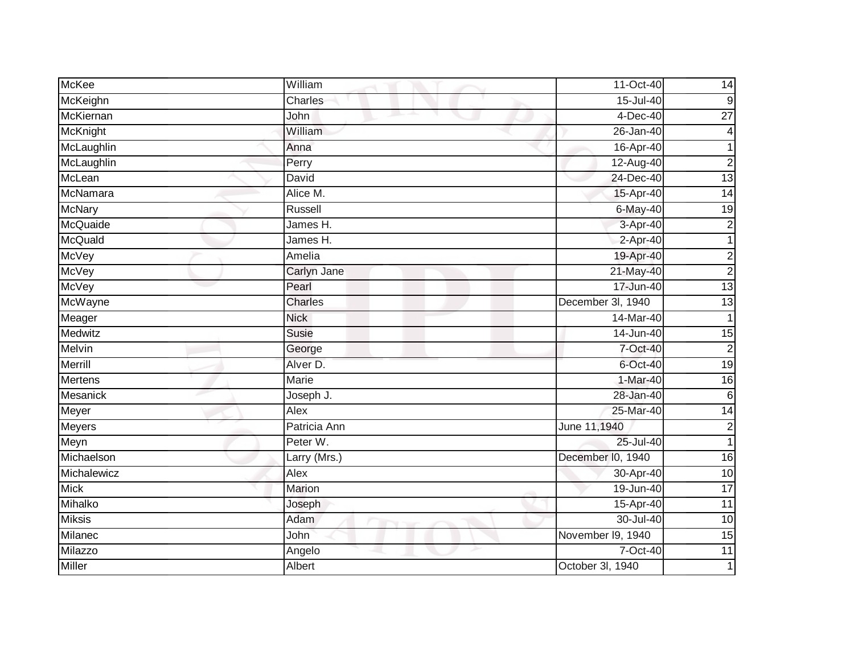| <b>McKee</b>    | William      | 11-Oct-40         | 14                      |
|-----------------|--------------|-------------------|-------------------------|
| McKeighn        | Charles      | 15-Jul-40         | $\boldsymbol{9}$        |
| McKiernan       | John         | $4-Dec-40$        | $\overline{27}$         |
| <b>McKnight</b> | William      | 26-Jan-40         | 4                       |
| McLaughlin      | Anna         | 16-Apr-40         |                         |
| McLaughlin      | Perry        | 12-Aug-40         | $\overline{2}$          |
| McLean          | David        | 24-Dec-40         | 13                      |
| McNamara        | Alice M.     | 15-Apr-40         | 14                      |
| McNary          | Russell      | $6$ -May-40       | $\overline{19}$         |
| McQuaide        | James H.     | 3-Apr-40          | $\overline{c}$          |
| <b>McQuald</b>  | James H.     | 2-Apr-40          |                         |
| McVey           | Amelia       | 19-Apr-40         | $\overline{\mathbf{c}}$ |
| <b>McVey</b>    | Carlyn Jane  | 21-May-40         | $\overline{c}$          |
| <b>McVey</b>    | Pearl        | $17 - Jun-40$     | $\overline{13}$         |
| McWayne         | Charles      | December 3l, 1940 | $\overline{3}$          |
| Meager          | <b>Nick</b>  | 14-Mar-40         |                         |
| Medwitz         | <b>Susie</b> | $14 - Jun-40$     | 15                      |
| Melvin          | George       | 7-Oct-40          | $\overline{c}$          |
| Merrill         | Alver D.     | 6-Oct-40          | 19                      |
| <b>Mertens</b>  | <b>Marie</b> | 1-Mar-40          | 16                      |
| Mesanick        | Joseph J.    | 28-Jan-40         | 6                       |
| Meyer           | Alex         | 25-Mar-40         | $\overline{14}$         |
| Meyers          | Patricia Ann | June 11,1940      | $\overline{2}$          |
| Meyn            | Peter W.     | 25-Jul-40         | $\mathbf{1}$            |
| Michaelson      | Larry (Mrs.) | December I0, 1940 | 16                      |
| Michalewicz     | Alex         | 30-Apr-40         | $\overline{10}$         |
| Mick            | Marion       | 19-Jun-40         | $\overline{17}$         |
| Mihalko         | Joseph       | 15-Apr-40         | $\overline{11}$         |
| <b>Miksis</b>   | Adam         | 30-Jul-40         | $\overline{10}$         |
| Milanec         | John         | November I9, 1940 | 15                      |
| Milazzo         | Angelo       | 7-Oct-40          | $\overline{11}$         |
| <b>Miller</b>   | Albert       | October 3l, 1940  |                         |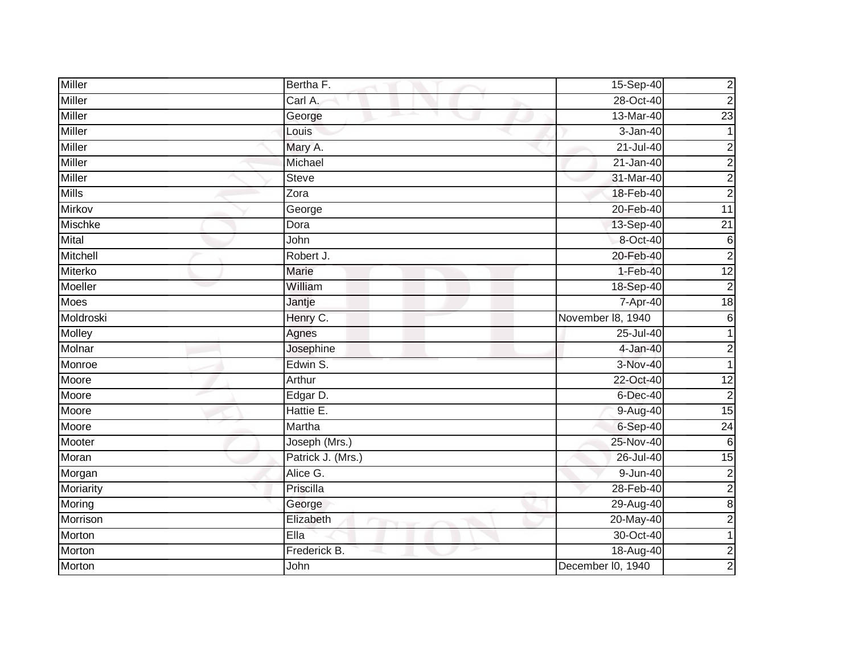| Miller        | Bertha F.         | 15-Sep-40         | $\overline{c}$          |
|---------------|-------------------|-------------------|-------------------------|
| Miller        | Carl A.           | 28-Oct-40         | $\overline{2}$          |
| <b>Miller</b> | George            | 13-Mar-40         | 23                      |
| <b>Miller</b> | Louis             | 3-Jan-40          |                         |
| <b>Miller</b> | Mary A.           | $21 -$ Jul-40     | $\overline{c}$          |
| Miller        | Michael           | $21 - Jan-40$     | $\overline{c}$          |
| Miller        | <b>Steve</b>      | 31-Mar-40         | $\overline{c}$          |
| <b>Mills</b>  | Zora              | 18-Feb-40         | $\overline{c}$          |
| Mirkov        | George            | 20-Feb-40         | $\overline{11}$         |
| Mischke       | Dora              | 13-Sep-40         | $\overline{21}$         |
| Mital         | John              | 8-Oct-40          | $\,6$                   |
| Mitchell      | Robert J.         | 20-Feb-40         | $\overline{a}$          |
| Miterko       | <b>Marie</b>      | 1-Feb-40          | 12                      |
| Moeller       | William           | 18-Sep-40         | $\overline{2}$          |
| Moes          | Jantje            | 7-Apr-40          | 18                      |
| Moldroski     | Henry C.          | November 18, 1940 | $6\phantom{1}$          |
| Molley        | Agnes             | 25-Jul-40         |                         |
| Molnar        | Josephine         | $4-Jan-40$        | $\overline{2}$          |
| Monroe        | Edwin S.          | 3-Nov-40          |                         |
| Moore         | Arthur            | 22-Oct-40         | $\overline{12}$         |
| Moore         | Edgar D.          | $6$ -Dec-40       | $\overline{c}$          |
| Moore         | Hattie E.         | 9-Aug-40          | 15                      |
| Moore         | Martha            | $6-Sep-40$        | $\overline{24}$         |
| Mooter        | Joseph (Mrs.)     | 25-Nov-40         | $\,6$                   |
| Moran         | Patrick J. (Mrs.) | 26-Jul-40         | $\overline{15}$         |
| Morgan        | Alice G.          | 9-Jun-40          | $\overline{2}$          |
| Moriarity     | Priscilla         | 28-Feb-40         | $\overline{c}$          |
| Moring        | George            | 29-Aug-40         | $\bf8$                  |
| Morrison      | Elizabeth         | 20-May-40         | $\overline{2}$          |
| Morton        | Ella              | 30-Oct-40         |                         |
| Morton        | Frederick B.      | 18-Aug-40         | $\overline{\mathbf{c}}$ |
| Morton        | John              | December I0, 1940 | 2                       |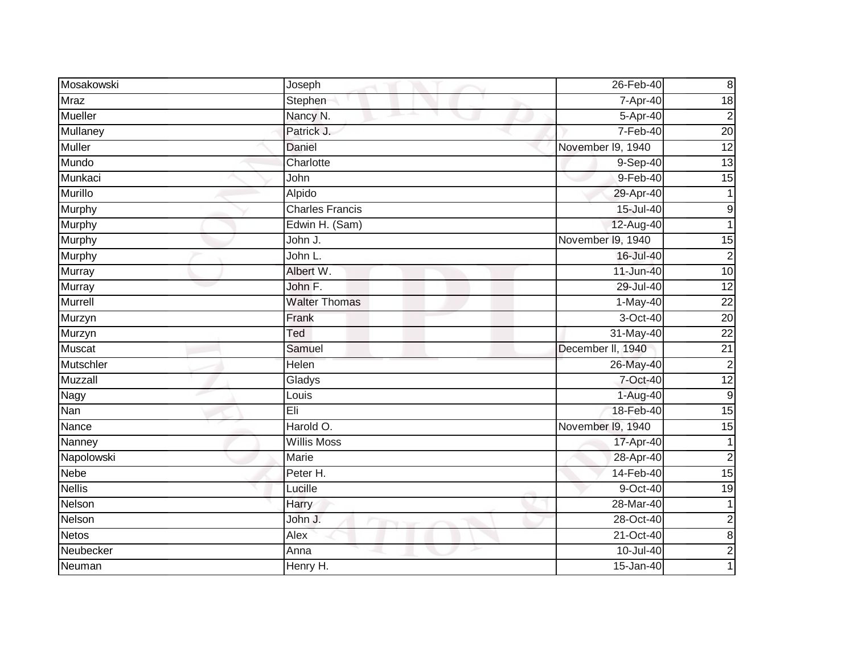| Mosakowski     | Joseph                 | 26-Feb-40         | $\infty$         |
|----------------|------------------------|-------------------|------------------|
| Mraz           | Stephen                | 7-Apr-40          | 18               |
| <b>Mueller</b> | Nancy N.               | 5-Apr-40          | $\overline{c}$   |
| Mullaney       | Patrick J.             | 7-Feb-40          | 20               |
| <b>Muller</b>  | <b>Daniel</b>          | November I9, 1940 | 12               |
| Mundo          | Charlotte              | 9-Sep-40          | 13               |
| Munkaci        | John                   | $9-Feb-40$        | $\overline{15}$  |
| Murillo        | Alpido                 | 29-Apr-40         |                  |
| Murphy         | <b>Charles Francis</b> | 15-Jul-40         | $\boldsymbol{9}$ |
| Murphy         | Edwin H. (Sam)         | 12-Aug-40         |                  |
| Murphy         | John J.                | November I9, 1940 | 15               |
| Murphy         | John L.                | 16-Jul-40         | $\overline{c}$   |
| Murray         | Albert W.              | 11-Jun-40         | 10               |
| Murray         | John F.                | 29-Jul-40         | 12               |
| Murrell        | <b>Walter Thomas</b>   | $1-May-40$        | $\overline{22}$  |
| Murzyn         | Frank                  | 3-Oct-40          | $\overline{20}$  |
| Murzyn         | Ted                    | 31-May-40         | $\overline{22}$  |
| <b>Muscat</b>  | Samuel                 | December II, 1940 | 21               |
| Mutschler      | Helen                  | 26-May-40         | $\overline{2}$   |
| Muzzall        | Gladys                 | 7-Oct-40          | 12               |
| Nagy           | Louis                  | 1-Aug-40          | 9                |
| Nan            | Eli                    | 18-Feb-40         | 15               |
| Nance          | Harold O.              | November 19, 1940 | $\overline{15}$  |
| Nanney         | <b>Willis Moss</b>     | 17-Apr-40         | $\mathbf{1}$     |
| Napolowski     | Marie                  | 28-Apr-40         | $\overline{2}$   |
| <b>Nebe</b>    | Peter H.               | 14-Feb-40         | $\overline{15}$  |
| <b>Nellis</b>  | Lucille                | 9-Oct-40          | $\overline{19}$  |
| Nelson         | Harry                  | 28-Mar-40         | $\mathbf 1$      |
| Nelson         | John J.                | 28-Oct-40         | $\overline{a}$   |
| <b>Netos</b>   | Alex                   | 21-Oct-40         | $\bf 8$          |
| Neubecker      | Anna                   | $10 -$ Jul-40     | $\overline{c}$   |
| Neuman         | Henry H.               | $15 - Jan-40$     |                  |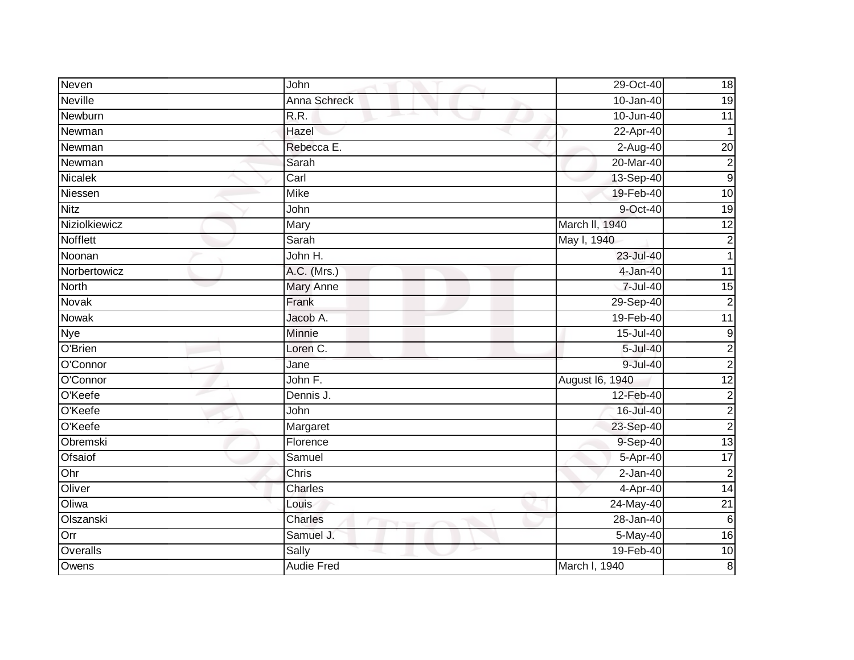| Neven           | John              | 29-Oct-40       | 18                      |
|-----------------|-------------------|-----------------|-------------------------|
| Neville         | Anna Schreck      | 10-Jan-40       | $\overline{19}$         |
| Newburn         | R.R.              | $10 - Jun-40$   | $\overline{11}$         |
| Newman          | Hazel             | 22-Apr-40       | $\overline{1}$          |
| Newman          | Rebecca E.        | $2-Aug-40$      | $\overline{20}$         |
| Newman          | Sarah             | 20-Mar-40       | $\overline{c}$          |
| Nicalek         | Carl              | 13-Sep-40       | $\overline{9}$          |
| Niessen         | <b>Mike</b>       | 19-Feb-40       | 10                      |
| <b>Nitz</b>     | John              | 9-Oct-40        | $\overline{19}$         |
| Niziolkiewicz   | <b>Mary</b>       | March II, 1940  | $\overline{12}$         |
| <b>Nofflett</b> | Sarah             | May I, 1940     | $\overline{2}$          |
| Noonan          | John H.           | 23-Jul-40       | 1                       |
| Norbertowicz    | A.C. (Mrs.)       | 4-Jan-40        | 11                      |
| North           | Mary Anne         | 7-Jul-40        | $\overline{15}$         |
| Novak           | Frank             | 29-Sep-40       | $\overline{c}$          |
| Nowak           | Jacob A.          | 19-Feb-40       | $\overline{11}$         |
| <b>Nye</b>      | <b>Minnie</b>     | $15 -$ Jul-40   | ٥                       |
| O'Brien         | Loren C.          | 5-Jul-40        | $\overline{c}$          |
| O'Connor        | Jane              | 9-Jul-40        | $\overline{2}$          |
| O'Connor        | John F.           | August 16, 1940 | 12                      |
| O'Keefe         | Dennis J.         | 12-Feb-40       | $\overline{\mathbf{c}}$ |
| O'Keefe         | John              | 16-Jul-40       | $\overline{2}$          |
| O'Keefe         | Margaret          | 23-Sep-40       | $\overline{c}$          |
| Obremski        | Florence          | 9-Sep-40        | 13                      |
| Ofsaiof         | Samuel            | 5-Apr-40        | $\overline{17}$         |
| Ohr             | Chris             | $2-Jan-40$      | $\overline{2}$          |
| Oliver          | Charles           | 4-Apr-40        | 14                      |
| Oliwa           | Louis             | 24-May-40       | $\overline{21}$         |
| Olszanski       | Charles           | 28-Jan-40       | $6\phantom{.}6$         |
| Orr             | Samuel J.         | 5-May-40        | 16                      |
| Overalls        | Sally             | 19-Feb-40       | $\overline{10}$         |
| Owens           | <b>Audie Fred</b> | March I, 1940   | $\bf 8$                 |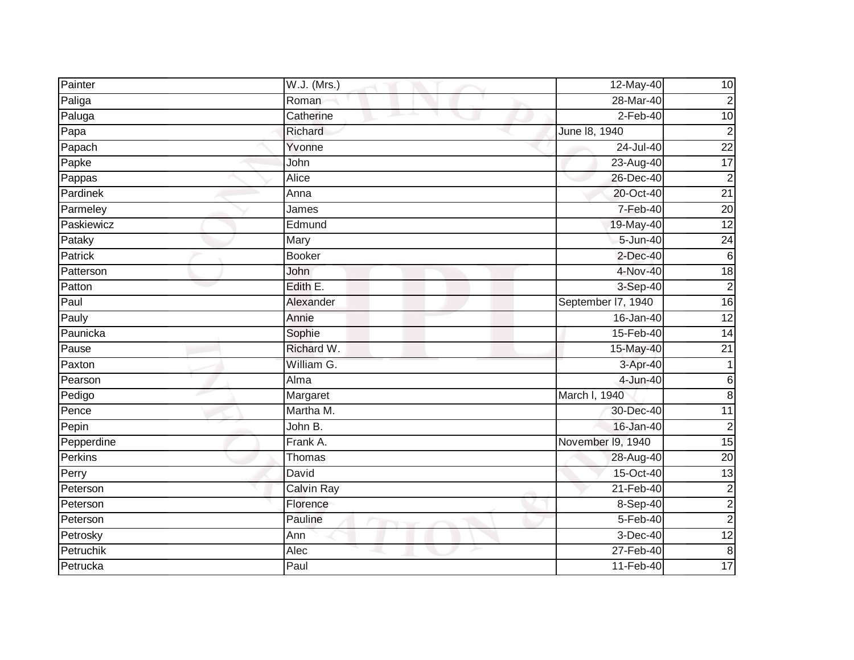| Painter        | W.J. (Mrs.)       | 12-May-40          | 10              |
|----------------|-------------------|--------------------|-----------------|
| Paliga         | Roman             | 28-Mar-40          | $\overline{c}$  |
| Paluga         | Catherine         | $2-Feb-40$         | $\overline{10}$ |
| Papa           | Richard           | June 18, 1940      | $\overline{2}$  |
| Papach         | Yvonne            | $24 -$ Jul-40      | $\overline{22}$ |
| Papke          | John              | 23-Aug-40          | 17              |
| Pappas         | Alice             | 26-Dec-40          | $\overline{2}$  |
| Pardinek       | Anna              | 20-Oct-40          | $\overline{21}$ |
| Parmeley       | James             | 7-Feb-40           | 20              |
| Paskiewicz     | Edmund            | 19-May-40          | $\overline{12}$ |
| Pataky         | Mary              | 5-Jun-40           | 24              |
| <b>Patrick</b> | <b>Booker</b>     | $2$ -Dec-40        | $6\phantom{.}6$ |
| Patterson      | John              | 4-Nov-40           | $\overline{18}$ |
| Patton         | Edith E.          | 3-Sep-40           | $\overline{2}$  |
| Paul           | Alexander         | September 17, 1940 | 16              |
| Pauly          | Annie             | 16-Jan-40          | 12              |
| Paunicka       | Sophie            | 15-Feb-40          | $\overline{14}$ |
| Pause          | Richard W.        | 15-May-40          | 21              |
| Paxton         | William G.        | 3-Apr-40           | $\mathbf{1}$    |
| Pearson        | Alma              | 4-Jun-40           | $\,6$           |
| Pedigo         | Margaret          | March I, 1940      | 8               |
| Pence          | Martha M.         | 30-Dec-40          | $\overline{11}$ |
| Pepin          | John B.           | 16-Jan-40          | $\overline{c}$  |
| Pepperdine     | Frank A.          | November I9, 1940  | 15              |
| Perkins        | Thomas            | 28-Aug-40          | $\overline{20}$ |
| Perry          | David             | 15-Oct-40          | 13              |
| Peterson       | <b>Calvin Ray</b> | 21-Feb-40          | $\overline{c}$  |
| Peterson       | Florence          | $8-Sep-40$         | $\overline{2}$  |
| Peterson       | Pauline           | 5-Feb-40           | $\overline{2}$  |
| Petrosky       | Ann               | $3-Dec-40$         | $\overline{12}$ |
| Petruchik      | Alec              | 27-Feb-40          | $\infty$        |
| Petrucka       | Paul              | 11-Feb-40          | 17              |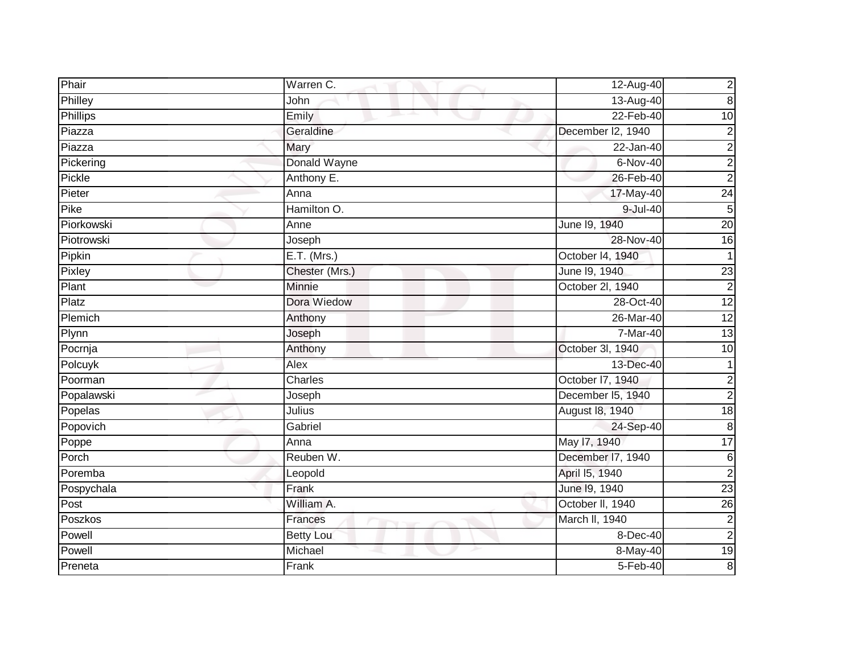| Phair      | Warren C.        | 12-Aug-40         | $\overline{c}$   |
|------------|------------------|-------------------|------------------|
| Philley    | John             | 13-Aug-40         | $\boldsymbol{8}$ |
| Phillips   | Emily            | 22-Feb-40         | 10               |
| Piazza     | Geraldine        | December I2, 1940 | $\overline{c}$   |
| Piazza     | Mary             | $22$ -Jan-40      | $\overline{2}$   |
| Pickering  | Donald Wayne     | $6-Nov-40$        | $\overline{2}$   |
| Pickle     | Anthony E.       | 26-Feb-40         | $\overline{2}$   |
| Pieter     | Anna             | 17-May-40         | 24               |
| Pike       | Hamilton O.      | 9-Jul-40          | 5                |
| Piorkowski | Anne             | June 19, 1940     | 20               |
| Piotrowski | Joseph           | 28-Nov-40         | $\overline{16}$  |
| Pipkin     | E.T. (Mrs.)      | October 14, 1940  | $\mathbf{1}$     |
| Pixley     | Chester (Mrs.)   | June 19, 1940     | 23               |
| Plant      | <b>Minnie</b>    | October 2l, 1940  | $\overline{2}$   |
| Platz      | Dora Wiedow      | 28-Oct-40         | 12               |
| Plemich    | Anthony          | 26-Mar-40         | $\overline{12}$  |
| Plynn      | Joseph           | 7-Mar-40          | 13               |
| Pocrnja    | Anthony          | October 3l, 1940  | 10               |
| Polcuyk    | Alex             | 13-Dec-40         | $\mathbf 1$      |
| Poorman    | Charles          | October I7, 1940  | $\overline{2}$   |
| Popalawski | Joseph           | December I5, 1940 | $\overline{c}$   |
| Popelas    | Julius           | August 18, 1940   | 18               |
| Popovich   | Gabriel          | 24-Sep-40         | ထ                |
| Poppe      | Anna             | May 17, 1940      | 17               |
| Porch      | Reuben W.        | December I7, 1940 | $\,6$            |
| Poremba    | Leopold          | April 15, 1940    | $\overline{2}$   |
| Pospychala | Frank            | June 19, 1940     | 23               |
| Post       | William A.       | October II, 1940  | $\overline{26}$  |
| Poszkos    | Frances          | March II, 1940    | $\overline{c}$   |
| Powell     | <b>Betty Lou</b> | 8-Dec-40          | $\overline{c}$   |
| Powell     | Michael          | 8-May-40          | 19               |
| Preneta    | Frank            | $5-Feb-40$        | 8                |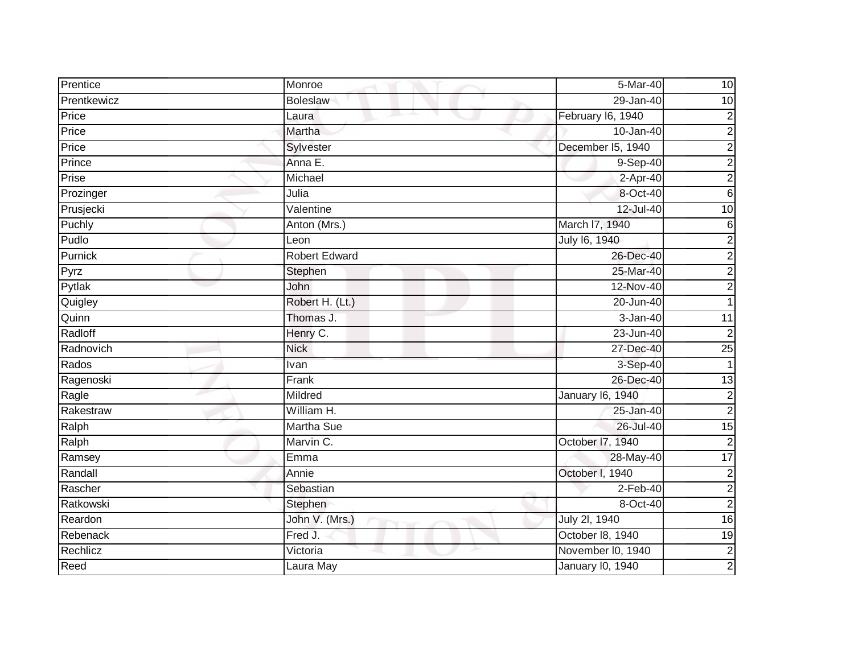| Prentice    | Monroe               | 5-Mar-40                | 10                      |
|-------------|----------------------|-------------------------|-------------------------|
| Prentkewicz | <b>Boleslaw</b>      | 29-Jan-40               | $\overline{10}$         |
| Price       | Laura                | February I6, 1940       | $\overline{c}$          |
| Price       | Martha               | 10-Jan-40               | $\overline{c}$          |
| Price       | Sylvester            | December 15, 1940       | $\overline{2}$          |
| Prince      | Anna E.              | 9-Sep-40                | $\overline{c}$          |
| Prise       | Michael              | 2-Apr-40                | $\overline{2}$          |
| Prozinger   | Julia                | 8-Oct-40                | $6\phantom{1}$          |
| Prusjecki   | Valentine            | 12-Jul-40               | $\overline{10}$         |
| Puchly      | Anton (Mrs.)         | March I7, 1940          | $6\phantom{.}6$         |
| Pudlo       | Leon                 | July 16, 1940           | $\overline{c}$          |
| Purnick     | <b>Robert Edward</b> | 26-Dec-40               | $\overline{\mathbf{c}}$ |
| Pyrz        | Stephen              | 25-Mar-40               | $\overline{c}$          |
| Pytlak      | John                 | 12-Nov-40               | $\overline{a}$          |
| Quigley     | Robert H. (Lt.)      | 20-Jun-40               | 1                       |
| Quinn       | Thomas J.            | 3-Jan-40                | 11                      |
| Radloff     | Henry C.             | 23-Jun-40               | $\overline{2}$          |
| Radnovich   | <b>Nick</b>          | 27-Dec-40               | $\overline{25}$         |
| Rados       | Ivan                 | 3-Sep-40                |                         |
| Ragenoski   | Frank                | 26-Dec-40               | 13                      |
| Ragle       | Mildred              | January 16, 1940        | $\overline{c}$          |
| Rakestraw   | William H.           | 25-Jan-40               | $\overline{2}$          |
| Ralph       | Martha Sue           | 26-Jul-40               | $\overline{15}$         |
| Ralph       | Marvin C.            | October I7, 1940        | $\overline{c}$          |
| Ramsey      | Emma                 | 28-May-40               | 17                      |
| Randall     | Annie                | October I, 1940         | $\overline{2}$          |
| Rascher     | Sebastian            | $2-Feb-40$              | 2                       |
| Ratkowski   | Stephen              | 8-Oct-40                | $\overline{2}$          |
| Reardon     | John V. (Mrs.)       | July 2I, 1940           | 16                      |
| Rebenack    | Fred J.              | October 18, 1940        | 19                      |
| Rechlicz    | Victoria             | November I0, 1940       | $\overline{2}$          |
| Reed        | Laura May            | <b>January 10, 1940</b> | $\overline{c}$          |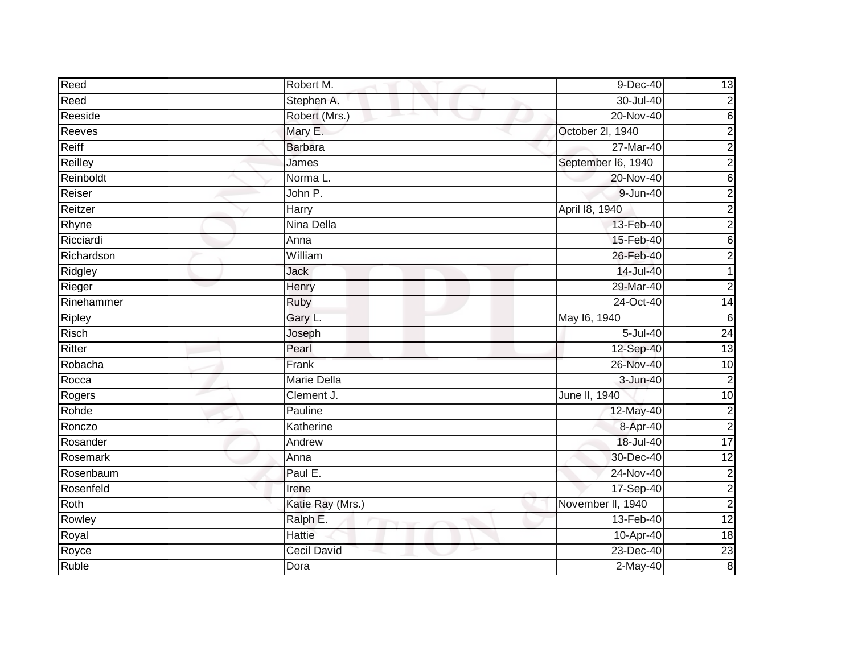| Reed         | Robert M.          | 9-Dec-40           | 13              |
|--------------|--------------------|--------------------|-----------------|
| Reed         | Stephen A.         | 30-Jul-40          | $\mathbf 2$     |
| Reeside      | Robert (Mrs.)      | 20-Nov-40          | $\,6$           |
| Reeves       | Mary E.            | October 2l, 1940   | $\overline{2}$  |
| Reiff        | <b>Barbara</b>     | 27-Mar-40          | $\overline{2}$  |
| Reilley      | James              | September I6, 1940 | $\overline{c}$  |
| Reinboldt    | Norma L.           | 20-Nov-40          | 6               |
| Reiser       | John P.            | 9-Jun-40           | $\overline{2}$  |
| Reitzer      | Harry              | April 18, 1940     | 2               |
| Rhyne        | Nina Della         | 13-Feb-40          | $\overline{2}$  |
| Ricciardi    | Anna               | 15-Feb-40          | 6               |
| Richardson   | William            | 26-Feb-40          | 2               |
| Ridgley      | <b>Jack</b>        | 14-Jul-40          | 1               |
| Rieger       | Henry              | 29-Mar-40          | $\overline{2}$  |
| Rinehammer   | <b>Ruby</b>        | 24-Oct-40          | $\overline{14}$ |
| Ripley       | Gary L.            | May 16, 1940       | $6\phantom{1}6$ |
| <b>Risch</b> | Joseph             | $5 -$ Jul $-40$    | 24              |
| Ritter       | Pearl              | 12-Sep-40          | $\overline{13}$ |
| Robacha      | Frank              | 26-Nov-40          | 10              |
| Rocca        | <b>Marie Della</b> | 3-Jun-40           | $\overline{2}$  |
| Rogers       | Clement J.         | June II, 1940      | 10              |
| Rohde        | Pauline            | 12-May-40          | $\overline{c}$  |
| Ronczo       | Katherine          | 8-Apr-40           | $\overline{2}$  |
| Rosander     | Andrew             | 18-Jul-40          | 17              |
| Rosemark     | Anna               | 30-Dec-40          | $\overline{12}$ |
| Rosenbaum    | Paul E.            | 24-Nov-40          | $\overline{c}$  |
| Rosenfeld    | Irene              | 17-Sep-40          | $\overline{2}$  |
| Roth         | Katie Ray (Mrs.)   | November II, 1940  | $\overline{2}$  |
| Rowley       | Ralph E.           | 13-Feb-40          | 12              |
| Royal        | <b>Hattie</b>      | 10-Apr-40          | 18              |
| Royce        | Cecil David        | $23$ -Dec-40       | $\overline{23}$ |
| Ruble        | Dora               | $2-May-40$         | 8               |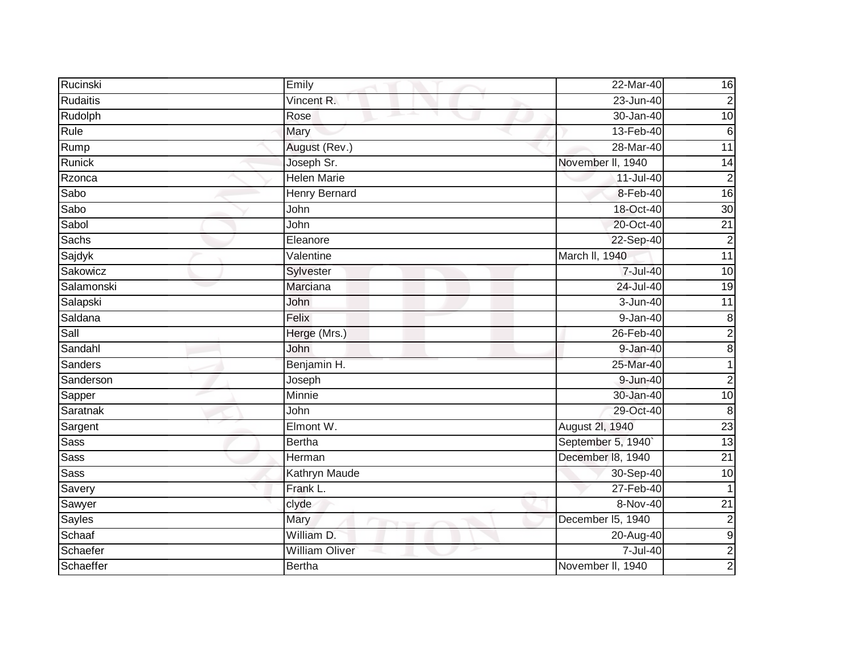| Rucinski        | Emily                 | 22-Mar-40          | 16               |
|-----------------|-----------------------|--------------------|------------------|
| Rudaitis        | Vincent R.            | 23-Jun-40          | $\overline{2}$   |
| Rudolph         | Rose                  | 30-Jan-40          | $\overline{10}$  |
| Rule            | Mary                  | 13-Feb-40          | $6\phantom{1}6$  |
| Rump            | August (Rev.)         | 28-Mar-40          | 11               |
| Runick          | Joseph Sr.            | November II, 1940  | 14               |
| Rzonca          | <b>Helen Marie</b>    | 11-Jul-40          | $\overline{2}$   |
| Sabo            | <b>Henry Bernard</b>  | 8-Feb-40           | 16               |
| Sabo            | John                  | 18-Oct-40          | 30               |
| Sabol           | John                  | 20-Oct-40          | $\overline{21}$  |
| Sachs           | Eleanore              | 22-Sep-40          | $\overline{2}$   |
| Sajdyk          | Valentine             | March II, 1940     | 11               |
| Sakowicz        | Sylvester             | 7-Jul-40           | 10               |
| Salamonski      | Marciana              | 24-Jul-40          | $\overline{19}$  |
| Salapski        | John                  | $3 - Jun-40$       | $\overline{11}$  |
| Saldana         | Felix                 | $9 - Jan-40$       | $\bf 8$          |
| Sall            | Herge (Mrs.)          | 26-Feb-40          | $\overline{2}$   |
| Sandahl         | John                  | 9-Jan-40           | $\bf 8$          |
| Sanders         | Benjamin H.           | 25-Mar-40          | 1                |
| Sanderson       | Joseph                | 9-Jun-40           | $\overline{2}$   |
| Sapper          | Minnie                | 30-Jan-40          | $\overline{10}$  |
| <b>Saratnak</b> | John                  | 29-Oct-40          | 8                |
| Sargent         | Elmont W.             | August 2I, 1940    | $\overline{23}$  |
| <b>Sass</b>     | <b>Bertha</b>         | September 5, 1940` | 13               |
| <b>Sass</b>     | Herman                | December 18, 1940  | $\overline{21}$  |
| Sass            | <b>Kathryn Maude</b>  | 30-Sep-40          | 10               |
| Savery          | Frank L.              | 27-Feb-40          |                  |
| Sawyer          | clyde                 | 8-Nov-40           | $\overline{21}$  |
| Sayles          | Mary                  | December I5, 1940  | $\overline{2}$   |
| Schaaf          | William D.            | 20-Aug-40          | $\boldsymbol{9}$ |
| Schaefer        | <b>William Oliver</b> | 7-Jul-40           | $\overline{c}$   |
| Schaeffer       | <b>Bertha</b>         | November II, 1940  | $\overline{2}$   |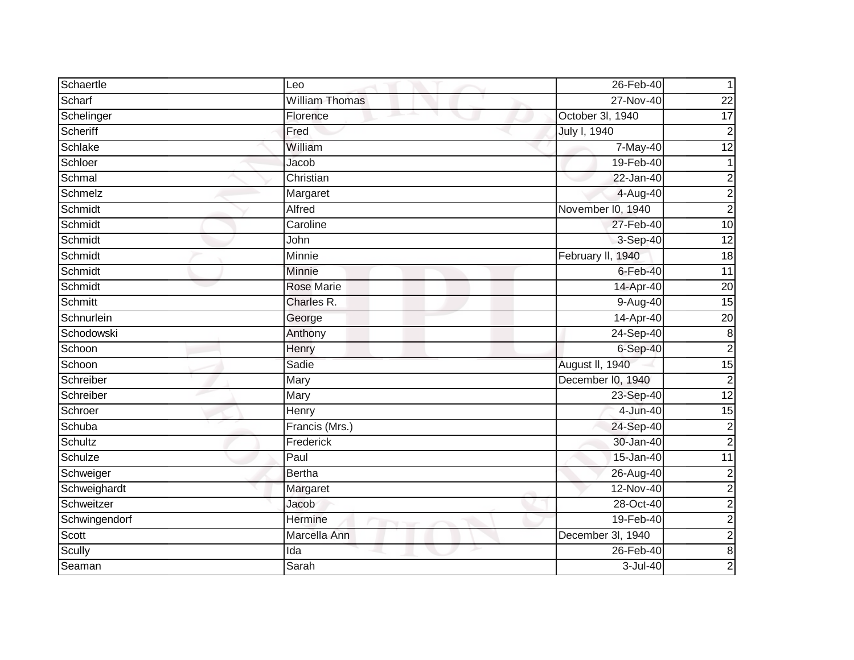| Schaertle     | Leo                   | 26-Feb-40         |                 |
|---------------|-----------------------|-------------------|-----------------|
| Scharf        | <b>William Thomas</b> | 27-Nov-40         | $\overline{22}$ |
| Schelinger    | Florence              | October 3l, 1940  | $\overline{17}$ |
| Scheriff      | Fred                  | July I, 1940      | $\overline{2}$  |
| Schlake       | William               | 7-May-40          | 12              |
| Schloer       | Jacob                 | 19-Feb-40         | 1               |
| Schmal        | Christian             | 22-Jan-40         | $\overline{c}$  |
| Schmelz       | Margaret              | 4-Aug-40          | $\overline{c}$  |
| Schmidt       | Alfred                | November I0, 1940 | $\overline{c}$  |
| Schmidt       | Caroline              | 27-Feb-40         | 10              |
| Schmidt       | John                  | $3-$ Sep-40       | 12              |
| Schmidt       | Minnie                | February II, 1940 | 18              |
| Schmidt       | Minnie                | $6$ -Feb-40       | $\overline{11}$ |
| Schmidt       | <b>Rose Marie</b>     | 14-Apr-40         | $\overline{20}$ |
| Schmitt       | Charles R.            | 9-Aug-40          | 15              |
| Schnurlein    | George                | 14-Apr-40         | $\overline{20}$ |
| Schodowski    | Anthony               | 24-Sep-40         | $\bf 8$         |
| Schoon        | Henry                 | $6-Sep-40$        | $\overline{2}$  |
| Schoon        | Sadie                 | August II, 1940   | 15              |
| Schreiber     | Mary                  | December I0, 1940 | $\overline{c}$  |
| Schreiber     | Mary                  | 23-Sep-40         | 12              |
| Schroer       | Henry                 | 4-Jun-40          | 15              |
| Schuba        | Francis (Mrs.)        | 24-Sep-40         | $\overline{c}$  |
| Schultz       | Frederick             | 30-Jan-40         | $\overline{c}$  |
| Schulze       | Paul                  | 15-Jan-40         | 11              |
| Schweiger     | <b>Bertha</b>         | 26-Aug-40         | $\overline{2}$  |
| Schweighardt  | Margaret              | 12-Nov-40         | $\overline{c}$  |
| Schweitzer    | Jacob                 | 28-Oct-40         | $\overline{c}$  |
| Schwingendorf | Hermine               | 19-Feb-40         | $\overline{a}$  |
| Scott         | Marcella Ann          | December 3l, 1940 | $\overline{c}$  |
| Scully        | Ida                   | 26-Feb-40         | $\overline{8}$  |
| Seaman        | Sarah                 | 3-Jul-40          | $\overline{2}$  |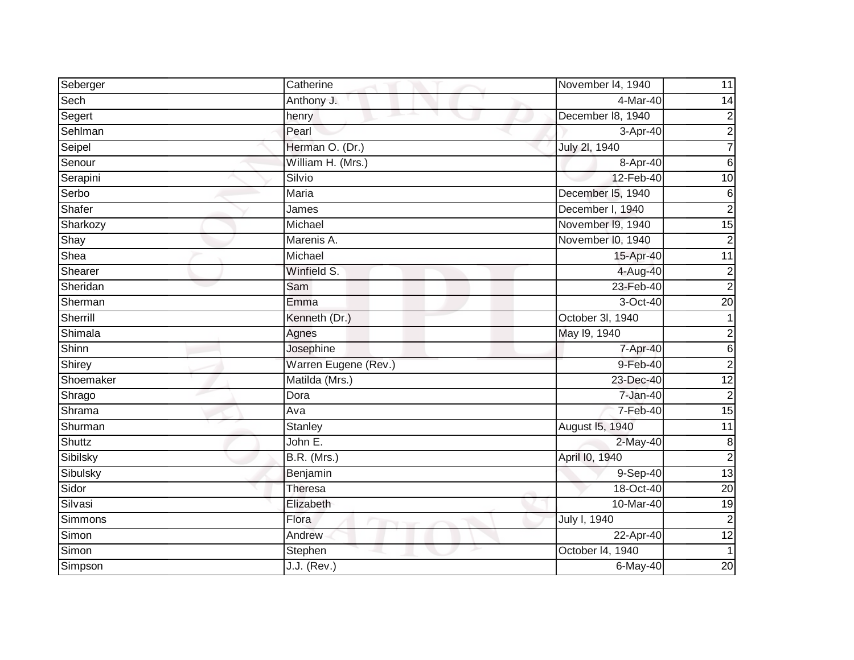| Seberger  | Catherine            | November I4, 1940 | 11               |
|-----------|----------------------|-------------------|------------------|
| Sech      | Anthony J.           | 4-Mar-40          | 14               |
| Segert    | henry                | December 18, 1940 | $\overline{c}$   |
| Sehlman   | Pearl                | 3-Apr-40          | $\overline{2}$   |
| Seipel    | Herman O. (Dr.)      | July 2l, 1940     | $\overline{7}$   |
| Senour    | William H. (Mrs.)    | 8-Apr-40          | $6\phantom{1}$   |
| Serapini  | Silvio               | 12-Feb-40         | 10               |
| Serbo     | Maria                | December I5, 1940 | $\,6$            |
| Shafer    | James                | December I, 1940  | $\overline{a}$   |
| Sharkozy  | Michael              | November 19, 1940 | 15               |
| Shay      | Marenis A.           | November I0, 1940 | $\overline{2}$   |
| Shea      | Michael              | 15-Apr-40         | $\overline{11}$  |
| Shearer   | Winfield S.          | 4-Aug-40          | $\overline{2}$   |
| Sheridan  | Sam                  | 23-Feb-40         | $\overline{2}$   |
| Sherman   | Emma                 | 3-Oct-40          | 20               |
| Sherrill  | Kenneth (Dr.)        | October 3I, 1940  |                  |
| Shimala   | Agnes                | May 19, 1940      | $\overline{c}$   |
| Shinn     | Josephine            | 7-Apr-40          | 6                |
| Shirey    | Warren Eugene (Rev.) | 9-Feb-40          | $\overline{2}$   |
| Shoemaker | Matilda (Mrs.)       | 23-Dec-40         | 12               |
| Shrago    | Dora                 | 7-Jan-40          | $\overline{c}$   |
| Shrama    | Ava                  | 7-Feb-40          | 15               |
| Shurman   | Stanley              | August 15, 1940   | $\overline{11}$  |
| Shuttz    | John E.              | 2-May-40          | $\boldsymbol{8}$ |
| Sibilsky  | <b>B.R.</b> (Mrs.)   | April I0, 1940    | $\overline{2}$   |
| Sibulsky  | Benjamin             | 9-Sep-40          | 13               |
| Sidor     | Theresa              | 18-Oct-40         | 20               |
| Silvasi   | Elizabeth            | 10-Mar-40         | $\overline{19}$  |
| Simmons   | Flora                | July I, 1940      | $\overline{2}$   |
| Simon     | Andrew               | 22-Apr-40         | 12               |
| Simon     | Stephen              | October 14, 1940  |                  |
| Simpson   | $J.J.$ (Rev.)        | $6$ -May-40       | 20               |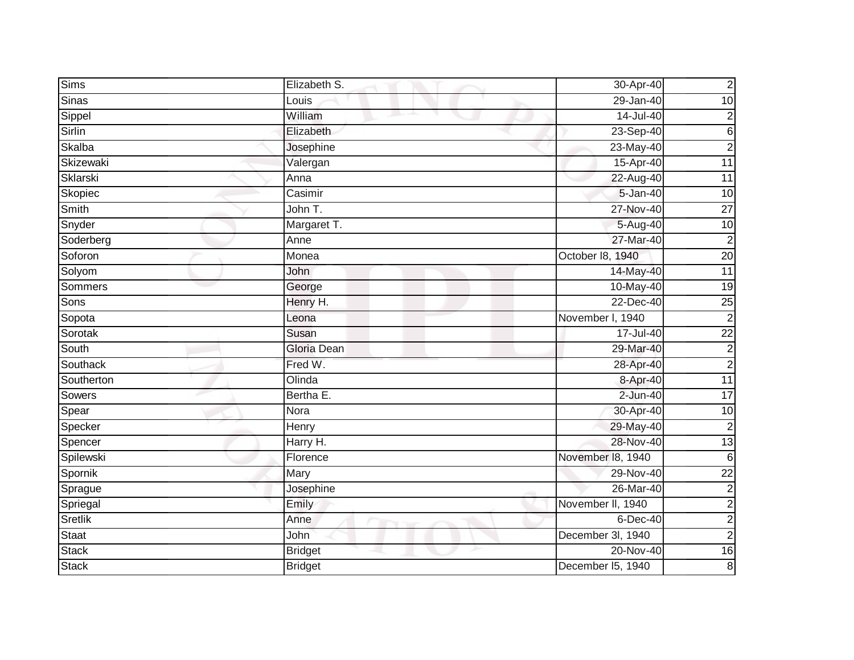| <b>Sims</b>  | Elizabeth S.   | 30-Apr-40         | $\overline{c}$  |
|--------------|----------------|-------------------|-----------------|
| <b>Sinas</b> | Louis          | 29-Jan-40         | $\overline{10}$ |
| Sippel       | William        | $14$ -Jul-40      | $\overline{c}$  |
| Sirlin       | Elizabeth      | 23-Sep-40         | $\,$ 6          |
| Skalba       | Josephine      | 23-May-40         | $\overline{c}$  |
| Skizewaki    | Valergan       | 15-Apr-40         | 11              |
| Sklarski     | Anna           | 22-Aug-40         | $\overline{11}$ |
| Skopiec      | Casimir        | 5-Jan-40          | $\overline{10}$ |
| Smith        | John T.        | 27-Nov-40         | $\overline{27}$ |
| Snyder       | Margaret T.    | 5-Aug-40          | 10              |
| Soderberg    | Anne           | 27-Mar-40         | $\overline{2}$  |
| Soforon      | Monea          | October 18, 1940  | 20              |
| Solyom       | John           | 14-May-40         | 11              |
| Sommers      | George         | 10-May-40         | $\overline{19}$ |
| Sons         | Henry H.       | 22-Dec-40         | $\overline{25}$ |
| Sopota       | Leona          | November I, 1940  | $\overline{2}$  |
| Sorotak      | Susan          | 17-Jul-40         | $\overline{22}$ |
| South        | Gloria Dean    | 29-Mar-40         | $\overline{c}$  |
| Southack     | Fred W.        | 28-Apr-40         | $\overline{2}$  |
| Southerton   | Olinda         | 8-Apr-40          | 11              |
| Sowers       | Bertha E.      | $2$ -Jun-40       | 17              |
| Spear        | Nora           | 30-Apr-40         | 10              |
| Specker      | Henry          | 29-May-40         | $\overline{c}$  |
| Spencer      | Harry H.       | 28-Nov-40         | $\overline{13}$ |
| Spilewski    | Florence       | November 18, 1940 | $6\phantom{1}6$ |
| Spornik      | Mary           | 29-Nov-40         | $\overline{22}$ |
| Sprague      | Josephine      | 26-Mar-40         | $\overline{c}$  |
| Spriegal     | Emily          | November II, 1940 | $\overline{c}$  |
| Sretlik      | Anne           | 6-Dec-40          | $\overline{c}$  |
| Staat        | John           | December 3l, 1940 | $\overline{c}$  |
| <b>Stack</b> | <b>Bridget</b> | 20-Nov-40         | 16              |
| <b>Stack</b> | <b>Bridget</b> | December I5, 1940 | $\bf 8$         |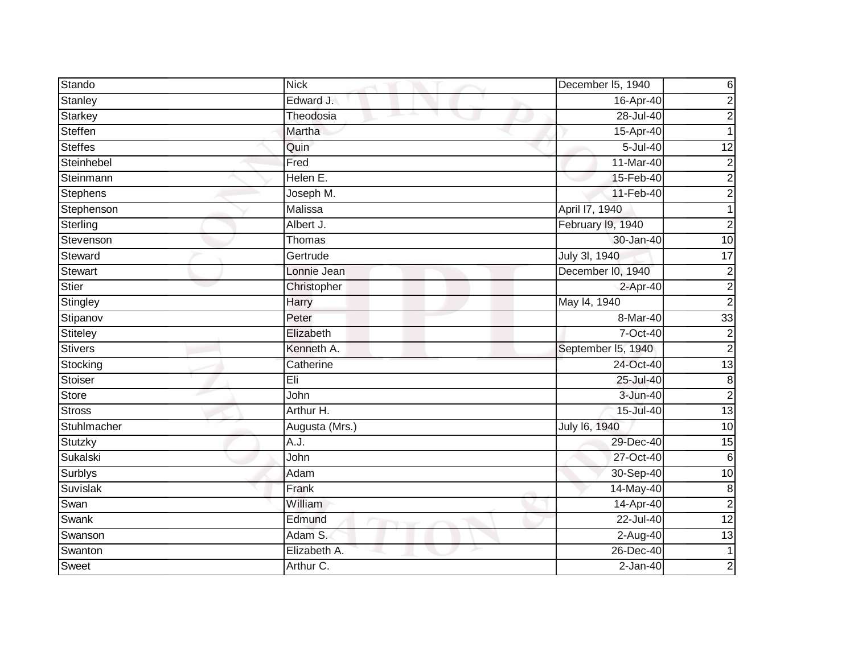| Stando         | <b>Nick</b>    | December I5, 1940  | 6               |
|----------------|----------------|--------------------|-----------------|
| Stanley        | Edward J.      | 16-Apr-40          | $\overline{2}$  |
| Starkey        | Theodosia      | 28-Jul-40          | $\overline{c}$  |
| Steffen        | Martha         | 15-Apr-40          |                 |
| <b>Steffes</b> | Quin           | 5-Jul-40           | $\overline{12}$ |
| Steinhebel     | Fred           | 11-Mar-40          | $\overline{c}$  |
| Steinmann      | Helen E.       | 15-Feb-40          | $\overline{2}$  |
| Stephens       | Joseph M.      | 11-Feb-40          | $\overline{c}$  |
| Stephenson     | Malissa        | April 17, 1940     |                 |
| Sterling       | Albert J.      | February I9, 1940  | $\overline{2}$  |
| Stevenson      | Thomas         | 30-Jan-40          | 10              |
| Steward        | Gertrude       | July 3l, 1940      | $\overline{17}$ |
| <b>Stewart</b> | Lonnie Jean    | December I0, 1940  | $\overline{2}$  |
| Stier          | Christopher    | 2-Apr-40           | $\overline{c}$  |
| Stingley       | Harry          | May 14, 1940       | $\overline{2}$  |
| Stipanov       | Peter          | 8-Mar-40           | $\overline{33}$ |
| Stiteley       | Elizabeth      | 7-Oct-40           | $\overline{2}$  |
| Stivers        | Kenneth A.     | September I5, 1940 | $\overline{2}$  |
| Stocking       | Catherine      | 24-Oct-40          | 13              |
| Stoiser        | Eli            | 25-Jul-40          | $\bf 8$         |
| Store          | John           | 3-Jun-40           | $\overline{c}$  |
| <b>Stross</b>  | Arthur H.      | 15-Jul-40          | $\overline{13}$ |
| Stuhlmacher    | Augusta (Mrs.) | July 16, 1940      | $\overline{10}$ |
| Stutzky        | A.J.           | 29-Dec-40          | 15              |
| Sukalski       | John           | 27-Oct-40          | $6\phantom{1}6$ |
| <b>Surblys</b> | Adam           | 30-Sep-40          | $\overline{10}$ |
| Suvislak       | Frank          | 14-May-40          | $\bf 8$         |
| Swan           | William        | 14-Apr-40          | $\overline{2}$  |
| Swank          | Edmund         | 22-Jul-40          | 12              |
| Swanson        | Adam S.        | 2-Aug-40           | 13              |
| Swanton        | Elizabeth A.   | 26-Dec-40          | $\mathbf 1$     |
| Sweet          | Arthur C.      | $2-Jan-40$         | $\overline{2}$  |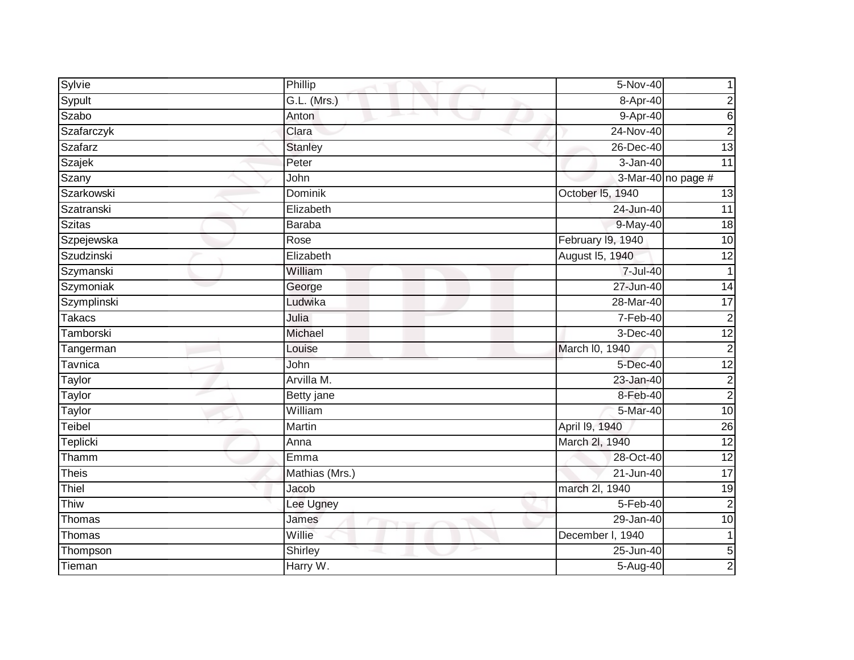| Sylvie        | Phillip        | 5-Nov-40          |                    |
|---------------|----------------|-------------------|--------------------|
| Sypult        | G.L. (Mrs.)    | 8-Apr-40          | 2                  |
| Szabo         | Anton          | 9-Apr-40          | 6                  |
| Szafarczyk    | Clara          | 24-Nov-40         | $\overline{c}$     |
| Szafarz       | <b>Stanley</b> | 26-Dec-40         | 13                 |
| Szajek        | Peter          | 3-Jan-40          | 11                 |
| Szany         | John           |                   | 3-Mar-40 no page # |
| Szarkowski    | Dominik        | October 15, 1940  | 13                 |
| Szatranski    | Elizabeth      | 24-Jun-40         | 11                 |
| <b>Szitas</b> | <b>Baraba</b>  | 9-May-40          | 18                 |
| Szpejewska    | Rose           | February 19, 1940 | $\overline{10}$    |
| Szudzinski    | Elizabeth      | August 15, 1940   | $\overline{12}$    |
| Szymanski     | William        | 7-Jul-40          | $\mathbf 1$        |
| Szymoniak     | George         | 27-Jun-40         | $\overline{14}$    |
| Szymplinski   | Ludwika        | 28-Mar-40         | $\overline{17}$    |
| <b>Takacs</b> | Julia          | 7-Feb-40          | $\overline{2}$     |
| Tamborski     | Michael        | 3-Dec-40          | $\overline{12}$    |
| Tangerman     | Louise         | March I0, 1940    | $\mathbf 2$        |
| Tavnica       | John           | 5-Dec-40          | 12                 |
| Taylor        | Arvilla M.     | 23-Jan-40         | $\overline{2}$     |
| Taylor        | Betty jane     | 8-Feb-40          | $\overline{c}$     |
| Taylor        | William        | 5-Mar-40          | 10                 |
| Teibel        | Martin         | April 19, 1940    | $\overline{26}$    |
| Teplicki      | Anna           | March 2I, 1940    | $\overline{12}$    |
| Thamm         | Emma           | 28-Oct-40         | $\overline{12}$    |
| <b>Theis</b>  | Mathias (Mrs.) | $21$ -Jun-40      | $\overline{17}$    |
| Thiel         | Jacob          | march 2l, 1940    | $\overline{19}$    |
| Thiw          | Lee Ugney      | 5-Feb-40          | $\overline{2}$     |
| Thomas        | James          | 29-Jan-40         | $\overline{10}$    |
| Thomas        | Willie         | December I, 1940  | 1                  |
| Thompson      | Shirley        | $25 - Jun-40$     | $\overline{5}$     |
| Tieman        | Harry W.       | 5-Aug-40          | $\overline{c}$     |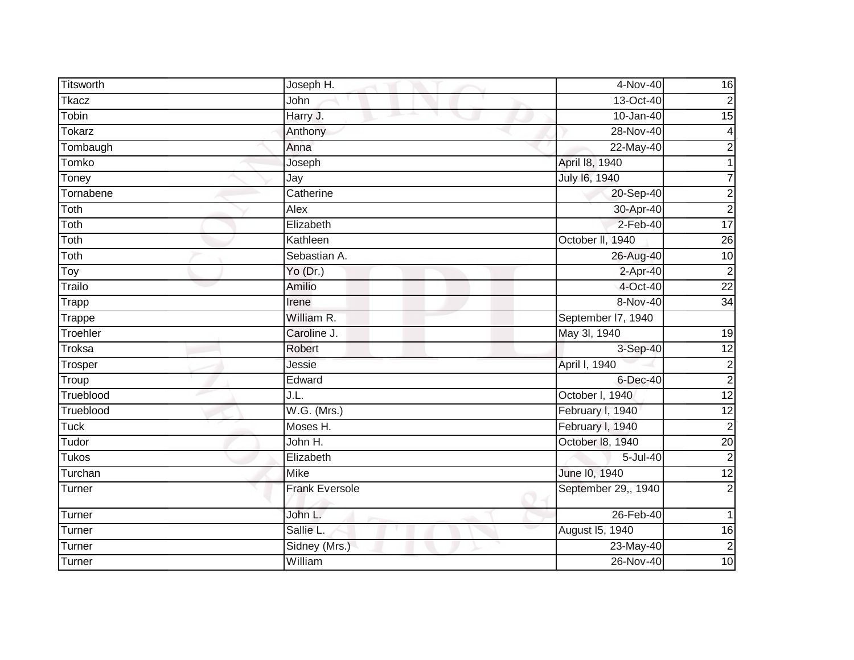| Titsworth           | Joseph H.             | 4-Nov-40            | 16              |
|---------------------|-----------------------|---------------------|-----------------|
| Tkacz               | John                  | 13-Oct-40           | $\overline{2}$  |
| Tobin               | Harry J.              | $10 - Jan-40$       | 15              |
| <b>Tokarz</b>       | Anthony               | 28-Nov-40           | $\overline{4}$  |
| Tombaugh            | Anna                  | 22-May-40           | $\overline{c}$  |
| Tomko               | Joseph                | April 18, 1940      |                 |
| Toney               | Jay                   | July 16, 1940       | 7               |
| Tornabene           | Catherine             | 20-Sep-40           | $\overline{c}$  |
| Toth                | Alex                  | 30-Apr-40           | $\overline{2}$  |
| Toth                | Elizabeth             | $2-Feb-40$          | $\overline{17}$ |
| Toth                | Kathleen              | October II, 1940    | $\overline{26}$ |
| Toth                | Sebastian A.          | 26-Aug-40           | 10              |
| Toy                 | Yo (Dr.)              | $2-Apr-40$          | $\overline{2}$  |
| Trailo              | Amilio                | 4-Oct-40            | $\overline{22}$ |
| Trapp               | Irene                 | 8-Nov-40            | $\overline{34}$ |
| Trappe              | William R.            | September I7, 1940  |                 |
| Troehler            | Caroline J.           | May 3l, 1940        | 19              |
| <b>Troksa</b>       | Robert                | 3-Sep-40            | 12              |
| Trosper             | Jessie                | April I, 1940       | $\overline{c}$  |
| $\overline{T}$ roup | Edward                | $6$ -Dec-40         | $\overline{2}$  |
| Trueblood           | J.L.                  | October I, 1940     | $\overline{12}$ |
| Trueblood           | $W.G.$ (Mrs.)         | February I, 1940    | 12              |
| <b>Tuck</b>         | Moses H.              | February I, 1940    | $\overline{2}$  |
| Tudor               | John H.               | October I8, 1940    | 20              |
| <b>Tukos</b>        | Elizabeth             | 5-Jul-40            | $\overline{c}$  |
| Turchan             | <b>Mike</b>           | June 10, 1940       | $\overline{12}$ |
| Turner              | <b>Frank Eversole</b> | September 29,, 1940 | $\overline{2}$  |
| Turner              | John L.               | $26$ -Feb-40        | 1               |
| Turner              | Sallie L.             | August 15, 1940     | 16              |
| Turner              | Sidney (Mrs.)         | 23-May-40           | $\overline{2}$  |
| Turner              | William               | 26-Nov-40           | 10              |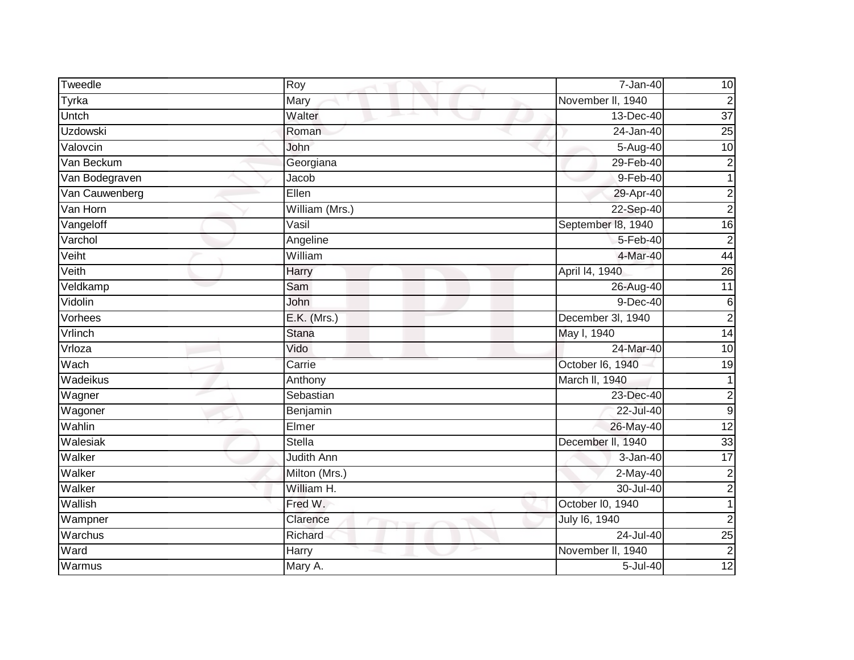| Tweedle        | Roy            | $7 - Jan-40$       | 10              |
|----------------|----------------|--------------------|-----------------|
| Tyrka          | Mary           | November II, 1940  | $\overline{c}$  |
| Untch          | Walter<br>m.   | 13-Dec-40          | $\overline{37}$ |
| Uzdowski       | Roman          | 24-Jan-40          | 25              |
| Valovcin       | John           | 5-Aug-40           | 10              |
| Van Beckum     | Georgiana      | 29-Feb-40          | $\overline{c}$  |
| Van Bodegraven | Jacob          | $9-Feb-40$         | $\mathbf{1}$    |
| Van Cauwenberg | Ellen          | 29-Apr-40          | $\overline{c}$  |
| Van Horn       | William (Mrs.) | 22-Sep-40          | $\overline{c}$  |
| Vangeloff      | Vasil          | September 18, 1940 | 16              |
| Varchol        | Angeline       | $5 - Feb - 40$     | $\overline{2}$  |
| Veiht          | William        | 4-Mar-40           | 44              |
| Veith          | Harry          | April 14, 1940     | 26              |
| Veldkamp       | Sam            | 26-Aug-40          | $\overline{11}$ |
| Vidolin        | John           | $9-Dec-40$         | $\,6$           |
| Vorhees        | E.K. (Mrs.)    | December 3I, 1940  | $\overline{2}$  |
| Vrlinch        | <b>Stana</b>   | May I, 1940        | 14              |
| Vrloza         | Vido           | 24-Mar-40          | 10              |
| Wach           | Carrie         | October I6, 1940   | 19              |
| Wadeikus       | Anthony        | March II, 1940     | 1               |
| Wagner         | Sebastian      | 23-Dec-40          | $\overline{c}$  |
| Wagoner        | Benjamin       | 22-Jul-40          | $\overline{9}$  |
| Wahlin         | Elmer          | 26-May-40          | 12              |
| Walesiak       | Stella         | December II, 1940  | 33              |
| Walker         | Judith Ann     | 3-Jan-40           | $\overline{17}$ |
| Walker         | Milton (Mrs.)  | $2-May-40$         | $\overline{2}$  |
| Walker         | William H.     | 30-Jul-40          | $\overline{c}$  |
| Wallish        | Fred W.        | October I0, 1940   |                 |
| Wampner        | Clarence       | July 16, 1940      | $\overline{2}$  |
| Warchus        | Richard        | 24-Jul-40          | $\overline{25}$ |
| Ward           | Harry          | November II, 1940  | $\overline{2}$  |
| Warmus         | Mary A.        | 5-Jul-40           | 12              |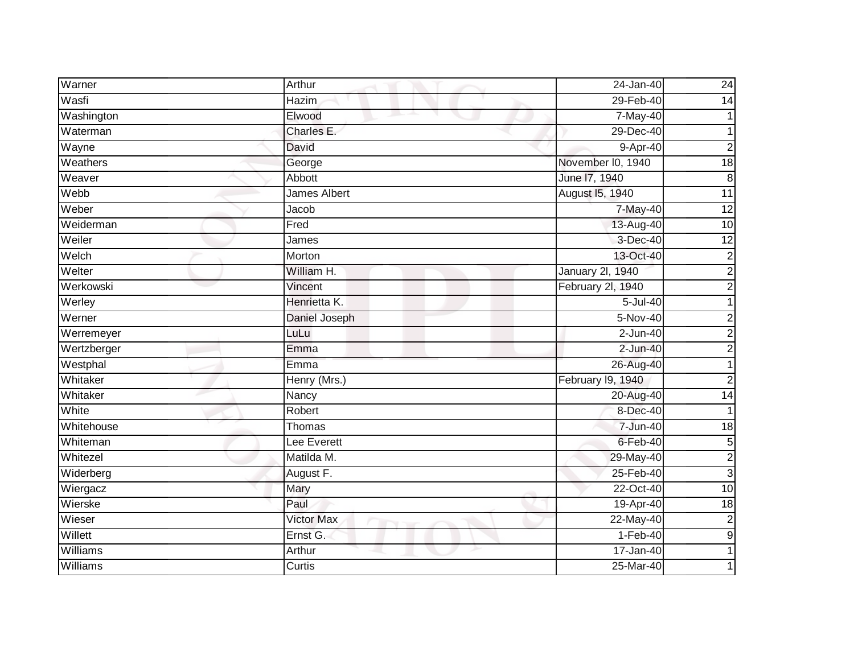| Warner      | Arthur            | 24-Jan-40         | 24                      |
|-------------|-------------------|-------------------|-------------------------|
| Wasfi       | <b>Hazim</b>      | 29-Feb-40         | 14                      |
| Washington  | Elwood            | 7-May-40          |                         |
| Waterman    | Charles E.        | 29-Dec-40         |                         |
| Wayne       | David             | 9-Apr-40          | 2                       |
| Weathers    | George            | November I0, 1940 | 18                      |
| Weaver      | Abbott            | June 17, 1940     | $\, 8$                  |
| Webb        | James Albert      | August 15, 1940   | $\overline{11}$         |
| Weber       | Jacob             | 7-May-40          | 12                      |
| Weiderman   | Fred              | 13-Aug-40         | 10                      |
| Weiler      | James             | 3-Dec-40          | $\overline{12}$         |
| Welch       | Morton            | 13-Oct-40         | $\overline{\mathbf{c}}$ |
| Welter      | William H.        | January 2l, 1940  | $\overline{2}$          |
| Werkowski   | Vincent           | February 2l, 1940 | $\overline{2}$          |
| Werley      | Henrietta K.      | 5-Jul-40          |                         |
| Werner      | Daniel Joseph     | 5-Nov-40          | $\overline{2}$          |
| Werremeyer  | LuLu              | $2$ -Jun-40       | 2                       |
| Wertzberger | Emma              | $2$ -Jun-40       | 2                       |
| Westphal    | Emma              | 26-Aug-40         |                         |
| Whitaker    | Henry (Mrs.)      | February I9, 1940 | $\overline{2}$          |
| Whitaker    | Nancy             | 20-Aug-40         | 14                      |
| White       | <b>Robert</b>     | 8-Dec-40          |                         |
| Whitehouse  | Thomas            | 7-Jun-40          | $\overline{18}$         |
| Whiteman    | Lee Everett       | 6-Feb-40          | 5                       |
| Whitezel    | Matilda M.        | 29-May-40         | $\overline{2}$          |
| Widerberg   | August F.         | 25-Feb-40         | $\mathbf{3}$            |
| Wiergacz    | Mary              | 22-Oct-40         | 10                      |
| Wierske     | Paul              | 19-Apr-40         | 18                      |
| Wieser      | <b>Victor Max</b> | 22-May-40         | $\mathbf 2$             |
| Willett     | Ernst G.          | $1-Feb-40$        | 9                       |
| Williams    | Arthur            | 17-Jan-40         |                         |
| Williams    | Curtis            | 25-Mar-40         |                         |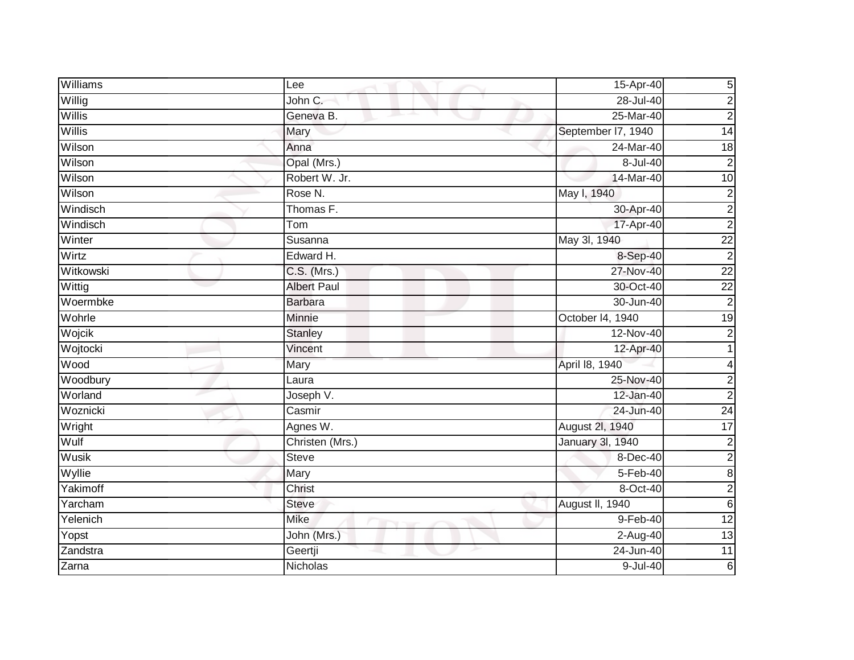| Williams      | Lee                | 15-Apr-40          | $5\vert$        |
|---------------|--------------------|--------------------|-----------------|
| Willig        | John C.            | 28-Jul-40          | $\overline{c}$  |
| Willis        | Geneva B.          | 25-Mar-40          | $\overline{c}$  |
| <b>Willis</b> | Mary               | September I7, 1940 | $\overline{14}$ |
| Wilson        | Anna               | 24-Mar-40          | 18              |
| Wilson        | Opal (Mrs.)        | 8-Jul-40           | $\overline{c}$  |
| Wilson        | Robert W. Jr.      | 14-Mar-40          | 10              |
| Wilson        | Rose N.            | May I, 1940        | $\overline{2}$  |
| Windisch      | Thomas F.          | 30-Apr-40          | $\overline{c}$  |
| Windisch      | Tom                | 17-Apr-40          | $\overline{2}$  |
| Winter        | Susanna            | May 3l, 1940       | $\overline{22}$ |
| Wirtz         | Edward H.          | 8-Sep-40           | $\overline{c}$  |
| Witkowski     | C.S. (Mrs.)        | 27-Nov-40          | $\overline{22}$ |
| Wittig        | <b>Albert Paul</b> | 30-Oct-40          | $\overline{22}$ |
| Woermbke      | <b>Barbara</b>     | 30-Jun-40          | $\overline{2}$  |
| Wohrle        | Minnie             | October 14, 1940   | $\overline{19}$ |
| Wojcik        | Stanley            | 12-Nov-40          | $\overline{2}$  |
| Wojtocki      | Vincent            | 12-Apr-40          |                 |
| Wood          | Mary               | April 18, 1940     | 4               |
| Woodbury      | Laura              | 25-Nov-40          | $\overline{a}$  |
| Worland       | Joseph V.          | 12-Jan-40          | $\overline{c}$  |
| Woznicki      | Casmir             | 24-Jun-40          | 24              |
| Wright        | Agnes W.           | August 2I, 1940    | $\overline{17}$ |
| Wulf          | Christen (Mrs.)    | January 3l, 1940   | $\overline{c}$  |
| Wusik         | <b>Steve</b>       | 8-Dec-40           | $\overline{2}$  |
| Wyllie        | Mary               | 5-Feb-40           | $\bf{8}$        |
| Yakimoff      | Christ             | 8-Oct-40           | 2               |
| Yarcham       | <b>Steve</b>       | August II, 1940    | $\,$ 6          |
| Yelenich      | <b>Mike</b>        | 9-Feb-40           | 12              |
| Yopst         | John (Mrs.)        | 2-Aug-40           | 13              |
| Zandstra      | Geertji            | 24-Jun-40          | $\overline{11}$ |
| Zarna         | Nicholas           | $9$ -Jul-40        | $6\phantom{1}$  |